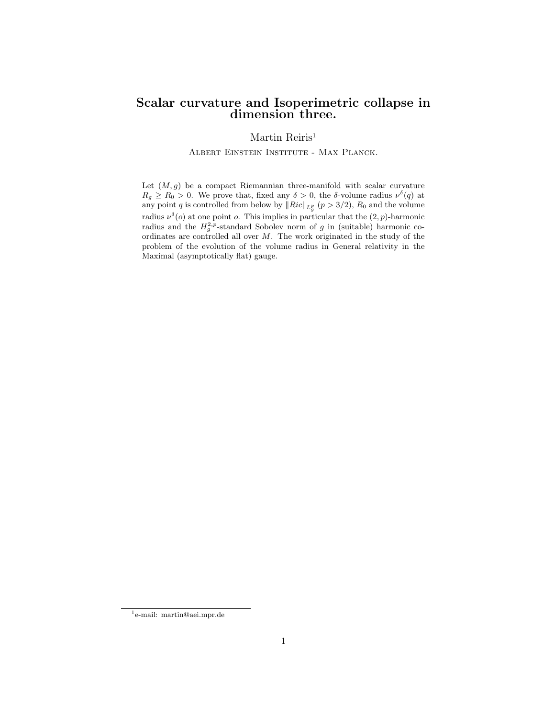# Scalar curvature and Isoperimetric collapse in dimension three.

Martin Reiris<sup>1</sup>

Albert Einstein Institute - Max Planck.

Let  $(M, g)$  be a compact Riemannian three-manifold with scalar curvature  $R_g \ge R_0 > 0$ . We prove that, fixed any  $\delta > 0$ , the δ-volume radius  $\nu^{\delta}(q)$  at any point q is controlled from below by  $\| Ric \|_{L_g^p}$   $(p > 3/2)$ ,  $R_0$  and the volume radius  $\nu^{\delta}(o)$  at one point o. This implies in particular that the  $(2, p)$ -harmonic radius and the  $H_g^{2,p}$ -standard Sobolev norm of g in (suitable) harmonic coordinates are controlled all over  $M$ . The work originated in the study of the problem of the evolution of the volume radius in General relativity in the Maximal (asymptotically flat) gauge.

<sup>1</sup>e-mail: martin@aei.mpr.de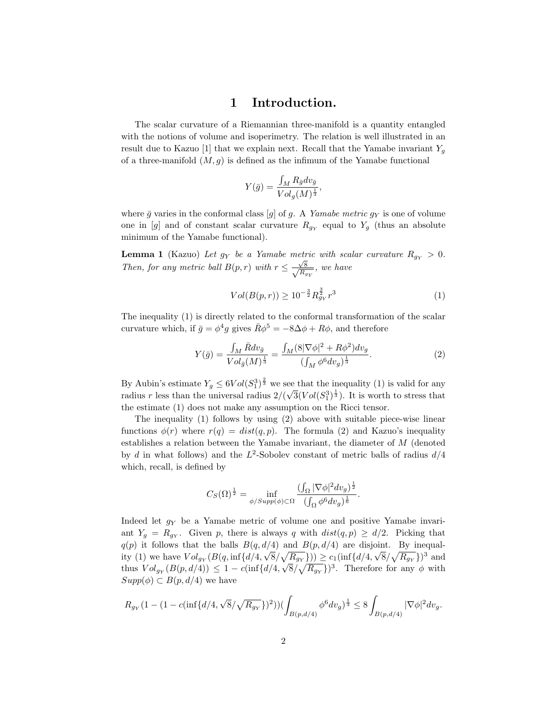## 1 Introduction.

The scalar curvature of a Riemannian three-manifold is a quantity entangled with the notions of volume and isoperimetry. The relation is well illustrated in an result due to Kazuo [1] that we explain next. Recall that the Yamabe invariant  $Y_g$ of a three-manifold  $(M, g)$  is defined as the infimum of the Yamabe functional

$$
Y(\bar{g}) = \frac{\int_M R_{\bar{g}} dv_{\bar{g}}}{Vol_g(M)^{\frac{1}{3}}},
$$

where  $\bar{g}$  varies in the conformal class [g] of g. A Yamabe metric  $g_Y$  is one of volume one in [g] and of constant scalar curvature  $R_{gY}$  equal to  $Y_g$  (thus an absolute minimum of the Yamabe functional).

**Lemma 1** (Kazuo) Let  $g_Y$  be a Yamabe metric with scalar curvature  $R_{g_Y} > 0$ . Then, for any metric ball  $B(p, r)$  with  $r \leq \frac{\sqrt{8}}{\sqrt{2}}$  $\frac{\sqrt{8}}{R_{g_Y}}$ , we have

$$
Vol(B(p,r)) \ge 10^{-\frac{3}{2}} R_{g_Y}^{\frac{3}{2}} r^3
$$
\n<sup>(1)</sup>

The inequality (1) is directly related to the conformal transformation of the scalar curvature which, if  $\bar{g} = \phi^4 g$  gives  $\bar{R}\phi^5 = -8\Delta\phi + R\phi$ , and therefore

$$
Y(\bar{g}) = \frac{\int_M \bar{R} dv_{\bar{g}}}{Vol_{\bar{g}}(M)^{\frac{1}{3}}} = \frac{\int_M (8|\nabla\phi|^2 + R\phi^2) dv_g}{(\int_M \phi^6 dv_g)^{\frac{1}{3}}}.
$$
 (2)

By Aubin's estimate  $Y_g \leq 6Vol(S_1^3)^{\frac{2}{3}}$  we see that the inequality (1) is valid for any radius r less than the universal radius  $2/(\sqrt{3}(Vol(S_1^3)^{\frac{1}{3}})$ . It is worth to stress that the estimate (1) does not make any assumption on the Ricci tensor.

The inequality (1) follows by using (2) above with suitable piece-wise linear functions  $\phi(r)$  where  $r(q) = dist(q, p)$ . The formula (2) and Kazuo's inequality establishes a relation between the Yamabe invariant, the diameter of M (denoted by d in what follows) and the  $L^2$ -Sobolev constant of metric balls of radius  $d/4$ which, recall, is defined by

$$
C_S(\Omega)^{\frac{1}{2}} = \inf_{\phi/Supp(\phi)\subset\Omega} \frac{(\int_{\Omega} |\nabla \phi|^2 dv_g)^{\frac{1}{2}}}{(\int_{\Omega} \phi^6 dv_g)^{\frac{1}{6}}}.
$$

Indeed let  $g<sub>Y</sub>$  be a Yamabe metric of volume one and positive Yamabe invariant  $Y_g = R_{g_Y}$ . Given p, there is always q with  $dist(q, p) \ge d/2$ . Picking that  $q(p)$  it follows that the balls  $B(q, d/4)$  and  $B(p, d/4)$  are disjoint. By inequality (1) we have  $Vol_{g_Y}(B(q, \inf\{d/4, \sqrt{8}/\sqrt{R_{g_Y}}\})) \ge c_1(\inf\{d/4, \sqrt{8}/\sqrt{R_{g_Y}}\})^3$  and thus  $Vol_{g_Y}(B(p, d/4)) \leq 1 - c(\inf\{d/4, \sqrt{8}/\sqrt{R_{g_Y}}\})^3$ . Therefore for any  $\phi$  with  $Supp(\phi) \subset B(p, d/4)$  we have

$$
R_{g_Y}(1-(1-c(\inf\{d/4,\sqrt{8}/\sqrt{R_{g_Y}}\})^2))(\int_{B(p,d/4)}\phi^6dv_g)^{\frac{1}{3}}\leq 8\int_{B(p,d/4)}|\nabla\phi|^2dv_g.
$$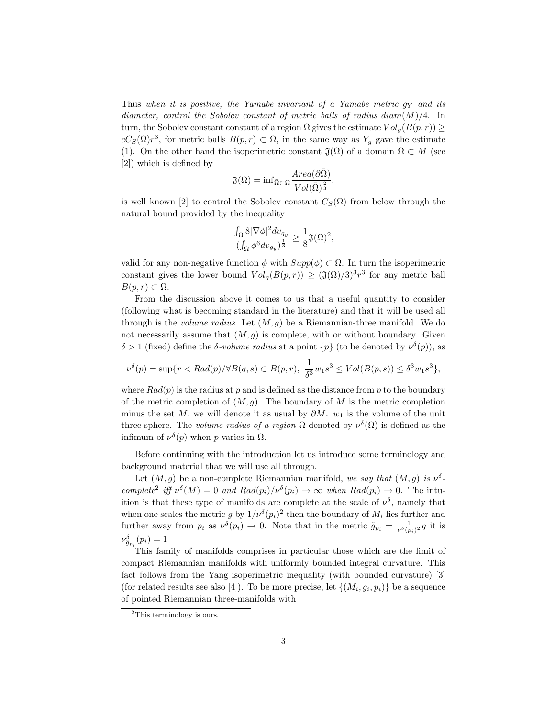Thus when it is positive, the Yamabe invariant of a Yamabe metric  $g_Y$  and its diameter, control the Sobolev constant of metric balls of radius diam $(M)/4$ . In turn, the Sobolev constant constant of a region  $\Omega$  gives the estimate  $Vol_q(B(p, r)) \geq$  $cC_S(\Omega)r^3$ , for metric balls  $B(p,r) \subset \Omega$ , in the same way as  $Y_g$  gave the estimate (1). On the other hand the isoperimetric constant  $\mathfrak{J}(\Omega)$  of a domain  $\Omega \subset M$  (see [2]) which is defined by

$$
\mathfrak{J}(\Omega) = \inf_{\bar{\Omega} \subset \Omega} \frac{Area(\partial \bar{\Omega})}{Vol(\bar{\Omega})^{\frac{2}{3}}}.
$$

is well known [2] to control the Sobolev constant  $C_S(\Omega)$  from below through the natural bound provided by the inequality

$$
\frac{\int_{\Omega} 8|\nabla \phi|^2 dv_{g_y}}{\left(\int_{\Omega} \phi^6 dv_{g_y}\right)^{\frac{1}{3}}} \geq \frac{1}{8} \mathfrak{J}(\Omega)^2,
$$

valid for any non-negative function  $\phi$  with  $Supp(\phi) \subset \Omega$ . In turn the isoperimetric constant gives the lower bound  $Vol_g(B(p,r)) \geq (\mathfrak{J}(\Omega)/3)^3 r^3$  for any metric ball  $B(p,r) \subset \Omega$ .

From the discussion above it comes to us that a useful quantity to consider (following what is becoming standard in the literature) and that it will be used all through is the *volume radius*. Let  $(M, g)$  be a Riemannian-three manifold. We do not necessarily assume that  $(M, g)$  is complete, with or without boundary. Given  $\delta > 1$  (fixed) define the δ-volume radius at a point {p} (to be denoted by  $\nu^{\delta}(p)$ ), as

$$
\nu^{\delta}(p) = \sup\{r < Rad(p)/\forall B(q,s) \subset B(p,r), \ \frac{1}{\delta^3}w_1s^3 \leq Vol(B(p,s)) \leq \delta^3w_1s^3\},\
$$

where  $Rad(p)$  is the radius at p and is defined as the distance from p to the boundary of the metric completion of  $(M, g)$ . The boundary of M is the metric completion minus the set M, we will denote it as usual by  $\partial M$ .  $w_1$  is the volume of the unit three-sphere. The volume radius of a region  $\Omega$  denoted by  $\nu^{\delta}(\Omega)$  is defined as the infimum of  $\nu^{\delta}(p)$  when p varies in  $\Omega$ .

Before continuing with the introduction let us introduce some terminology and background material that we will use all through.

Let  $(M, g)$  be a non-complete Riemannian manifold, we say that  $(M, g)$  is  $\nu^{\delta}$ . complete<sup>2</sup> iff  $\nu^{\delta}(M) = 0$  and  $Rad(p_i)/\nu^{\delta}(p_i) \to \infty$  when  $Rad(p_i) \to 0$ . The intuition is that these type of manifolds are complete at the scale of  $\nu^{\delta}$ , namely that when one scales the metric g by  $1/\nu^{\delta}(p_i)^2$  then the boundary of  $M_i$  lies further and further away from  $p_i$  as  $\nu^{\delta}(p_i) \to 0$ . Note that in the metric  $\tilde{g}_{p_i} = \frac{1}{\nu^{\delta}(p_i)^2} g$  it is  $\nu_{\tilde{g}_{p_i}}^{\delta}(p_i)=1$ 

This family of manifolds comprises in particular those which are the limit of compact Riemannian manifolds with uniformly bounded integral curvature. This fact follows from the Yang isoperimetric inequality (with bounded curvature) [3] (for related results see also [4]). To be more precise, let  $\{(M_i, g_i, p_i)\}\)$  be a sequence of pointed Riemannian three-manifolds with

<sup>2</sup>This terminology is ours.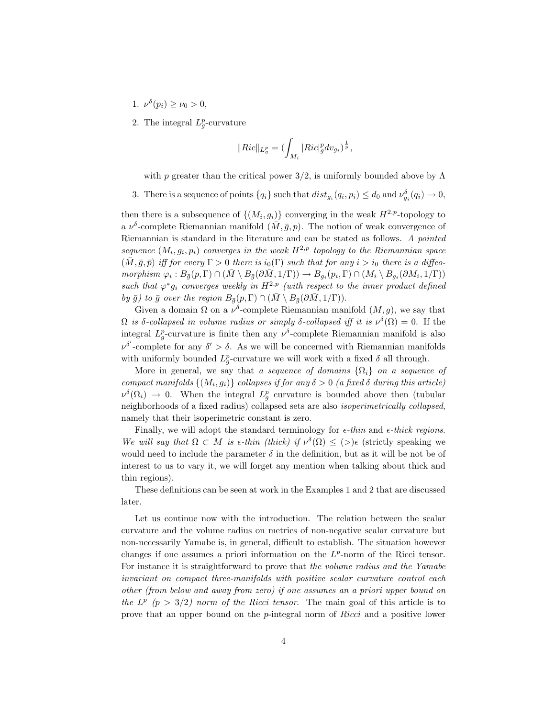- 1.  $\nu^{\delta}(p_i) \geq \nu_0 > 0,$
- 2. The integral  $L_g^p$ -curvature

$$
||Ric||_{L_g^p} = (\int_{M_i} |Ric|_g^p dv_{g_i})^{\frac{1}{p}},
$$

with p greater than the critical power  $3/2$ , is uniformly bounded above by  $\Lambda$ 

3. There is a sequence of points  $\{q_i\}$  such that  $dist_{g_i}(q_i, p_i) \leq d_0$  and  $\nu_{g_i}^{\delta}(q_i) \to 0$ ,

then there is a subsequence of  $\{(M_i, g_i)\}\)$  converging in the weak  $H^{2,p}$ -topology to a  $\nu^{\delta}$ -complete Riemannian manifold  $(\bar{M}, \bar{g}, p)$ . The notion of weak convergence of Riemannian is standard in the literature and can be stated as follows. A pointed sequence  $(M_i, g_i, p_i)$  converges in the weak  $H^{2,p}$  topology to the Riemannian space  $(\bar{M}, \bar{g}, \bar{p})$  iff for every  $\Gamma > 0$  there is  $i_0(\Gamma)$  such that for any  $i > i_0$  there is a diffeo $morphism \varphi_i : B_{\overline{g}}(p, \Gamma) \cap (\overline{M} \setminus B_{\overline{g}}(\partial \overline{M}, 1/\Gamma)) \to B_{g_i}(p_i, \Gamma) \cap (M_i \setminus B_{g_i}(\partial M_i, 1/\Gamma))$ such that  $\varphi^* g_i$  converges weekly in  $H^{2,p}$  (with respect to the inner product defined by  $\bar{g}$ ) to  $\bar{g}$  over the region  $B_{\bar{g}}(p, \Gamma) \cap (\bar{M} \setminus B_{\bar{g}}(\partial \bar{M}, 1/\Gamma)).$ 

Given a domain  $\Omega$  on a  $\nu^{\delta}$ -complete Riemannian manifold  $(M, g)$ , we say that  $\Omega$  is  $\delta$ -collapsed in volume radius or simply  $\delta$ -collapsed iff it is  $\nu^{\delta}(\Omega) = 0$ . If the integral  $L_g^p$ -curvature is finite then any  $\nu^{\delta}$ -complete Riemannian manifold is also  $\nu^{\delta'}$ -complete for any  $\delta' > \delta$ . As we will be concerned with Riemannian manifolds with uniformly bounded  $L_g^p$ -curvature we will work with a fixed  $\delta$  all through.

More in general, we say that a sequence of domains  $\{\Omega_i\}$  on a sequence of compact manifolds  $\{(M_i, g_i)\}\)$  collapses if for any  $\delta > 0$  (a fixed  $\delta$  during this article)  $\nu^{\delta}(\Omega_i) \to 0$ . When the integral  $L_g^p$  curvature is bounded above then (tubular neighborhoods of a fixed radius) collapsed sets are also isoperimetrically collapsed, namely that their isoperimetric constant is zero.

Finally, we will adopt the standard terminology for  $\epsilon$ -thin and  $\epsilon$ -thick regions. We will say that  $\Omega \subset M$  is  $\epsilon$ -thin (thick) if  $\nu^{\delta}(\Omega) \leq (\epsilon) \epsilon$  (strictly speaking we would need to include the parameter  $\delta$  in the definition, but as it will be not be of interest to us to vary it, we will forget any mention when talking about thick and thin regions).

These definitions can be seen at work in the Examples 1 and 2 that are discussed later.

Let us continue now with the introduction. The relation between the scalar curvature and the volume radius on metrics of non-negative scalar curvature but non-necessarily Yamabe is, in general, difficult to establish. The situation however changes if one assumes a priori information on the  $L^p$ -norm of the Ricci tensor. For instance it is straightforward to prove that the volume radius and the Yamabe invariant on compact three-manifolds with positive scalar curvature control each other (from below and away from zero) if one assumes an a priori upper bound on the  $L^p$  ( $p > 3/2$ ) norm of the Ricci tensor. The main goal of this article is to prove that an upper bound on the p-integral norm of Ricci and a positive lower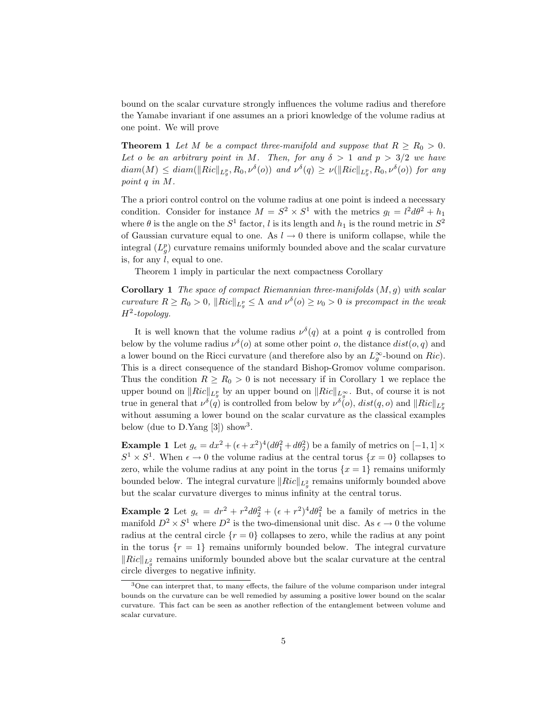bound on the scalar curvature strongly influences the volume radius and therefore the Yamabe invariant if one assumes an a priori knowledge of the volume radius at one point. We will prove

**Theorem 1** Let M be a compact three-manifold and suppose that  $R \ge R_0 > 0$ . Let o be an arbitrary point in M. Then, for any  $\delta > 1$  and  $p > 3/2$  we have  $diam(M) \leq diam(||Ric||_{L_g^p}, R_0, \nu^{\delta}(o))$  and  $\nu^{\delta}(q) \geq \nu(||Ric||_{L_g^p}, R_0, \nu^{\delta}(o))$  for any point q in M.

The a priori control control on the volume radius at one point is indeed a necessary condition. Consider for instance  $M = S^2 \times S^1$  with the metrics  $g_l = l^2 d\theta^2 + h_1$ where  $\theta$  is the angle on the  $S^1$  factor, l is its length and  $h_1$  is the round metric in  $S^2$ of Gaussian curvature equal to one. As  $l \to 0$  there is uniform collapse, while the integral  $(L_g^p)$  curvature remains uniformly bounded above and the scalar curvature is, for any l, equal to one.

Theorem 1 imply in particular the next compactness Corollary

**Corollary 1** The space of compact Riemannian three-manifolds  $(M, g)$  with scalar curvature  $R \ge R_0 > 0$ ,  $||Ric||_{L_g^p} \le \Lambda$  and  $\nu^{\delta}(o) \ge \nu_0 > 0$  is precompact in the weak  $H^2$ -topology.

It is well known that the volume radius  $\nu^{\delta}(q)$  at a point q is controlled from below by the volume radius  $\nu^{\delta}(o)$  at some other point o, the distance  $dist(o, q)$  and a lower bound on the Ricci curvature (and therefore also by an  $L_g^{\infty}$ -bound on Ric). This is a direct consequence of the standard Bishop-Gromov volume comparison. Thus the condition  $R \ge R_0 > 0$  is not necessary if in Corollary 1 we replace the upper bound on  $\|Ric\|_{L_g^p}$  by an upper bound on  $\|Ric\|_{L_g^{\infty}}$ . But, of course it is not true in general that  $\nu^{\delta}(q)$  is controlled from below by  $\nu^{\delta}(o)$ ,  $dist(q, o)$  and  $||Ric||_{L_g^p}$ without assuming a lower bound on the scalar curvature as the classical examples below (due to  $D$ .Yang [3]) show<sup>3</sup>.

**Example 1** Let  $g_{\epsilon} = dx^2 + (\epsilon + x^2)^4 (d\theta_1^2 + d\theta_2^2)$  be a family of metrics on  $[-1, 1] \times$  $S^1 \times S^1$ . When  $\epsilon \to 0$  the volume radius at the central torus  $\{x = 0\}$  collapses to zero, while the volume radius at any point in the torus  $\{x = 1\}$  remains uniformly bounded below. The integral curvature  $||Ric||_{L^2_g}$  remains uniformly bounded above but the scalar curvature diverges to minus infinity at the central torus.

**Example 2** Let  $g_{\epsilon} = dr^2 + r^2 d\theta_2^2 + (\epsilon + r^2)^4 d\theta_1^2$  be a family of metrics in the manifold  $D^2 \times S^1$  where  $D^2$  is the two-dimensional unit disc. As  $\epsilon \to 0$  the volume radius at the central circle  $\{r = 0\}$  collapses to zero, while the radius at any point in the torus  $\{r = 1\}$  remains uniformly bounded below. The integral curvature  $\|Ric\|_{L^2_g}$  remains uniformly bounded above but the scalar curvature at the central circle diverges to negative infinity.

<sup>&</sup>lt;sup>3</sup>One can interpret that, to many effects, the failure of the volume comparison under integral bounds on the curvature can be well remedied by assuming a positive lower bound on the scalar curvature. This fact can be seen as another reflection of the entanglement between volume and scalar curvature.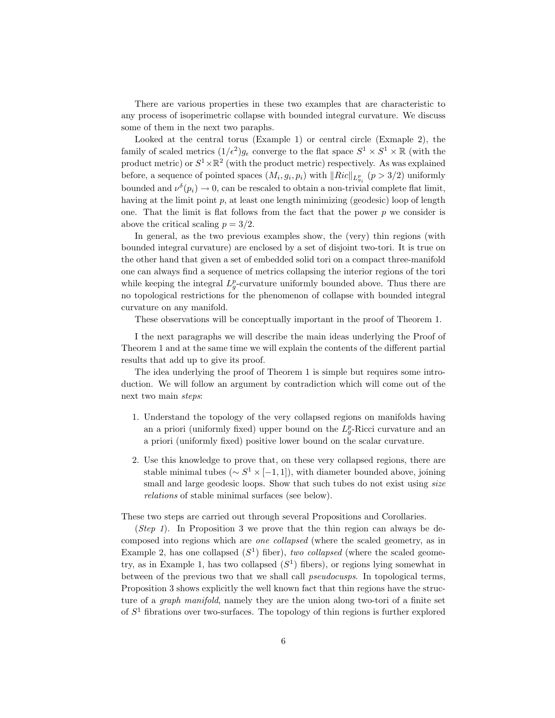There are various properties in these two examples that are characteristic to any process of isoperimetric collapse with bounded integral curvature. We discuss some of them in the next two paraphs.

Looked at the central torus (Example 1) or central circle (Exmaple 2), the family of scaled metrics  $(1/\epsilon^2)g_{\epsilon}$  converge to the flat space  $S^1 \times S^1 \times \mathbb{R}$  (with the product metric) or  $S^1 \times \mathbb{R}^2$  (with the product metric) respectively. As was explained before, a sequence of pointed spaces  $(M_i, g_i, p_i)$  with  $||Ric||_{L_{g_i}^p}$   $(p > 3/2)$  uniformly bounded and  $\nu^{\delta}(p_i) \to 0$ , can be rescaled to obtain a non-trivial complete flat limit, having at the limit point  $p$ , at least one length minimizing (geodesic) loop of length one. That the limit is flat follows from the fact that the power  $p$  we consider is above the critical scaling  $p = 3/2$ .

In general, as the two previous examples show, the (very) thin regions (with bounded integral curvature) are enclosed by a set of disjoint two-tori. It is true on the other hand that given a set of embedded solid tori on a compact three-manifold one can always find a sequence of metrics collapsing the interior regions of the tori while keeping the integral  $L_g^p$ -curvature uniformly bounded above. Thus there are no topological restrictions for the phenomenon of collapse with bounded integral curvature on any manifold.

These observations will be conceptually important in the proof of Theorem 1.

I the next paragraphs we will describe the main ideas underlying the Proof of Theorem 1 and at the same time we will explain the contents of the different partial results that add up to give its proof.

The idea underlying the proof of Theorem 1 is simple but requires some introduction. We will follow an argument by contradiction which will come out of the next two main steps:

- 1. Understand the topology of the very collapsed regions on manifolds having an a priori (uniformly fixed) upper bound on the  $L_g^p$ -Ricci curvature and an a priori (uniformly fixed) positive lower bound on the scalar curvature.
- 2. Use this knowledge to prove that, on these very collapsed regions, there are stable minimal tubes ( $\sim S^1 \times [-1,1]$ ), with diameter bounded above, joining small and large geodesic loops. Show that such tubes do not exist using size relations of stable minimal surfaces (see below).

These two steps are carried out through several Propositions and Corollaries.

(Step 1). In Proposition 3 we prove that the thin region can always be decomposed into regions which are one collapsed (where the scaled geometry, as in Example 2, has one collapsed  $(S^1)$  fiber), two collapsed (where the scaled geometry, as in Example 1, has two collapsed  $(S<sup>1</sup>)$  fibers), or regions lying somewhat in between of the previous two that we shall call pseudocusps. In topological terms, Proposition 3 shows explicitly the well known fact that thin regions have the structure of a graph manifold, namely they are the union along two-tori of a finite set of  $S<sup>1</sup>$  fibrations over two-surfaces. The topology of thin regions is further explored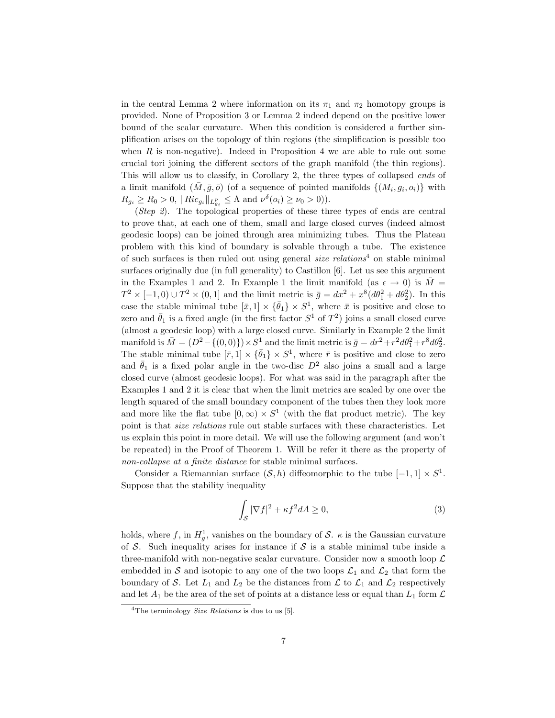in the central Lemma 2 where information on its  $\pi_1$  and  $\pi_2$  homotopy groups is provided. None of Proposition 3 or Lemma 2 indeed depend on the positive lower bound of the scalar curvature. When this condition is considered a further simplification arises on the topology of thin regions (the simplification is possible too when  $R$  is non-negative). Indeed in Proposition 4 we are able to rule out some crucial tori joining the different sectors of the graph manifold (the thin regions). This will allow us to classify, in Corollary 2, the three types of collapsed ends of a limit manifold  $(\bar{M}, \bar{g}, \bar{o})$  (of a sequence of pointed manifolds  $\{(M_i, g_i, o_i)\}\$  with  $R_{g_i} \ge R_0 > 0, \|Ric_{g_i}\|_{L_{g_i}^p} \le \Lambda \text{ and } \nu^{\delta}(o_i) \ge \nu_0 > 0).$ 

(Step 2). The topological properties of these three types of ends are central to prove that, at each one of them, small and large closed curves (indeed almost geodesic loops) can be joined through area minimizing tubes. Thus the Plateau problem with this kind of boundary is solvable through a tube. The existence of such surfaces is then ruled out using general *size relations*<sup>4</sup> on stable minimal surfaces originally due (in full generality) to Castillon [6]. Let us see this argument in the Examples 1 and 2. In Example 1 the limit manifold (as  $\epsilon \to 0$ ) is  $\overline{M} =$  $T^2 \times [-1,0) \cup T^2 \times (0,1]$  and the limit metric is  $\bar{g} = dx^2 + x^8(d\theta_1^2 + d\theta_2^2)$ . In this case the stable minimal tube  $[\bar{x}, 1] \times {\bar{\theta}}_1 \times S^1$ , where  $\bar{x}$  is positive and close to zero and  $\bar{\theta}_1$  is a fixed angle (in the first factor  $S^1$  of  $T^2$ ) joins a small closed curve (almost a geodesic loop) with a large closed curve. Similarly in Example 2 the limit manifold is  $\overline{M} = (D^2 - \{(0,0)\}) \times S^1$  and the limit metric is  $\overline{g} = dr^2 + r^2 d\theta_1^2 + r^8 d\theta_2^2$ . The stable minimal tube  $[\bar{r},1] \times {\bar{\theta}}_1 \times S^1$ , where  $\bar{r}$  is positive and close to zero and  $\bar{\theta}_1$  is a fixed polar angle in the two-disc  $D^2$  also joins a small and a large closed curve (almost geodesic loops). For what was said in the paragraph after the Examples 1 and 2 it is clear that when the limit metrics are scaled by one over the length squared of the small boundary component of the tubes then they look more and more like the flat tube  $[0, \infty) \times S^1$  (with the flat product metric). The key point is that size relations rule out stable surfaces with these characteristics. Let us explain this point in more detail. We will use the following argument (and won't be repeated) in the Proof of Theorem 1. Will be refer it there as the property of non-collapse at a finite distance for stable minimal surfaces.

Consider a Riemannian surface  $(S, h)$  diffeomorphic to the tube  $[-1, 1] \times S<sup>1</sup>$ . Suppose that the stability inequality

$$
\int_{\mathcal{S}} |\nabla f|^2 + \kappa f^2 dA \ge 0,\tag{3}
$$

holds, where f, in  $H_g^1$ , vanishes on the boundary of S.  $\kappa$  is the Gaussian curvature of S. Such inequality arises for instance if S is a stable minimal tube inside a three-manifold with non-negative scalar curvature. Consider now a smooth loop  $\mathcal L$ embedded in S and isotopic to any one of the two loops  $\mathcal{L}_1$  and  $\mathcal{L}_2$  that form the boundary of S. Let  $L_1$  and  $L_2$  be the distances from  $\mathcal L$  to  $\mathcal L_1$  and  $\mathcal L_2$  respectively and let  $A_1$  be the area of the set of points at a distance less or equal than  $L_1$  form  $\mathcal L$ 

<sup>&</sup>lt;sup>4</sup>The terminology *Size Relations* is due to us [5].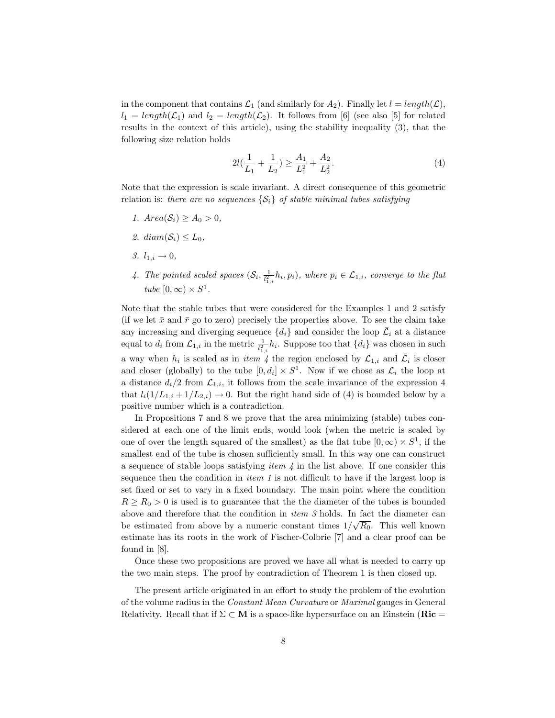in the component that contains  $\mathcal{L}_1$  (and similarly for  $A_2$ ). Finally let  $l = length(\mathcal{L}),$  $l_1 = length(\mathcal{L}_1)$  and  $l_2 = length(\mathcal{L}_2)$ . It follows from [6] (see also [5] for related results in the context of this article), using the stability inequality (3), that the following size relation holds

$$
2l(\frac{1}{L_1} + \frac{1}{L_2}) \ge \frac{A_1}{L_1^2} + \frac{A_2}{L_2^2}.\tag{4}
$$

Note that the expression is scale invariant. A direct consequence of this geometric relation is: there are no sequences  $\{S_i\}$  of stable minimal tubes satisfying

- 1.  $Area(S_i) \geq A_0 > 0$ ,
- 2.  $diam(\mathcal{S}_i) \leq L_0$ ,
- 3.  $l_{1,i} \to 0$ ,
- 4. The pointed scaled spaces  $(\mathcal{S}_i, \frac{1}{l_{1,i}^2}h_i, p_i)$ , where  $p_i \in \mathcal{L}_{1,i}$ , converge to the flat tube  $[0, \infty) \times S^1$ .

Note that the stable tubes that were considered for the Examples 1 and 2 satisfy (if we let  $\bar{x}$  and  $\bar{r}$  go to zero) precisely the properties above. To see the claim take any increasing and diverging sequence  $\{d_i\}$  and consider the loop  $\overline{\mathcal{L}}_i$  at a distance equal to  $d_i$  from  $\mathcal{L}_{1,i}$  in the metric  $\frac{1}{l_{1,i}^2}h_i$ . Suppose too that  $\{d_i\}$  was chosen in such a way when  $h_i$  is scaled as in *item*  $\cancel{4}$  the region enclosed by  $\mathcal{L}_{1,i}$  and  $\overline{\mathcal{L}}_i$  is closer and closer (globally) to the tube  $[0, d_i] \times S^1$ . Now if we chose as  $\mathcal{L}_i$  the loop at a distance  $d_i/2$  from  $\mathcal{L}_{1,i}$ , it follows from the scale invariance of the expression 4 that  $l_i(1/L_{1,i} + 1/L_{2,i}) \rightarrow 0$ . But the right hand side of (4) is bounded below by a positive number which is a contradiction.

In Propositions 7 and 8 we prove that the area minimizing (stable) tubes considered at each one of the limit ends, would look (when the metric is scaled by one of over the length squared of the smallest) as the flat tube  $[0, \infty) \times S^1$ , if the smallest end of the tube is chosen sufficiently small. In this way one can construct a sequence of stable loops satisfying *item 4* in the list above. If one consider this sequence then the condition in *item 1* is not difficult to have if the largest loop is set fixed or set to vary in a fixed boundary. The main point where the condition  $R \ge R_0 > 0$  is used is to guarantee that the the diameter of the tubes is bounded above and therefore that the condition in *item 3* holds. In fact the diameter can be estimated from above by a numeric constant times  $1/\sqrt{R_0}$ . This well known estimate has its roots in the work of Fischer-Colbrie [7] and a clear proof can be found in [8].

Once these two propositions are proved we have all what is needed to carry up the two main steps. The proof by contradiction of Theorem 1 is then closed up.

The present article originated in an effort to study the problem of the evolution of the volume radius in the Constant Mean Curvature or Maximal gauges in General Relativity. Recall that if  $\Sigma \subset M$  is a space-like hypersurface on an Einstein (**Ric** =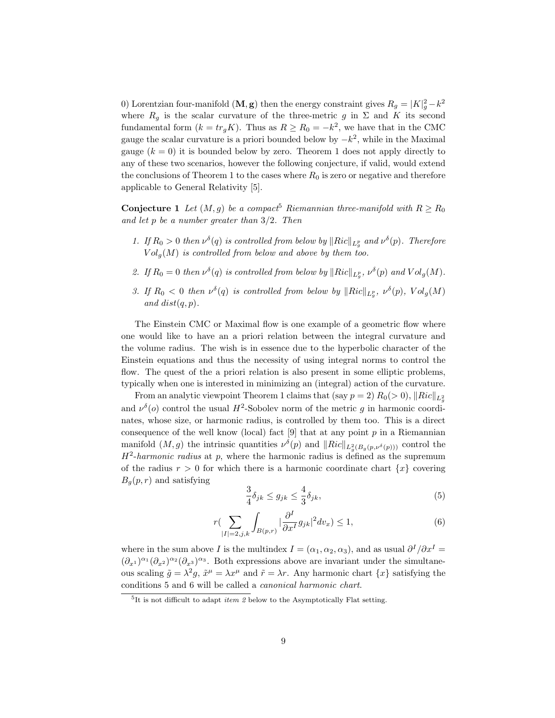0) Lorentzian four-manifold (M, g) then the energy constraint gives  $R_g = |K|_g^2 - k^2$ where  $R_g$  is the scalar curvature of the three-metric g in  $\Sigma$  and K its second fundamental form  $(k = tr_g K)$ . Thus as  $R \ge R_0 = -k^2$ , we have that in the CMC gauge the scalar curvature is a priori bounded below by  $-k^2$ , while in the Maximal gauge  $(k = 0)$  it is bounded below by zero. Theorem 1 does not apply directly to any of these two scenarios, however the following conjecture, if valid, would extend the conclusions of Theorem 1 to the cases where  $R_0$  is zero or negative and therefore applicable to General Relativity [5].

**Conjecture 1** Let  $(M, g)$  be a compact<sup>5</sup> Riemannian three-manifold with  $R \geq R_0$ and let p be a number greater than  $3/2$ . Then

- 1. If  $R_0 > 0$  then  $\nu^{\delta}(q)$  is controlled from below by  $\|Ric\|_{L^p_g}$  and  $\nu^{\delta}(p)$ . Therefore  $Vol_a(M)$  is controlled from below and above by them too.
- 2. If  $R_0 = 0$  then  $\nu^{\delta}(q)$  is controlled from below by  $\|Ric\|_{L^p_q}$ ,  $\nu^{\delta}(p)$  and  $Vol_g(M)$ .
- 3. If  $R_0 < 0$  then  $\nu^{\delta}(q)$  is controlled from below by  $\|Ric\|_{L^p_q}$ ,  $\nu^{\delta}(p)$ ,  $Vol_g(M)$ and  $dist(q, p)$ .

The Einstein CMC or Maximal flow is one example of a geometric flow where one would like to have an a priori relation between the integral curvature and the volume radius. The wish is in essence due to the hyperbolic character of the Einstein equations and thus the necessity of using integral norms to control the flow. The quest of the a priori relation is also present in some elliptic problems, typically when one is interested in minimizing an (integral) action of the curvature.

From an analytic viewpoint Theorem 1 claims that (say  $p = 2$ )  $R_0(> 0)$ ,  $||Ric||_{L^2_g}$ and  $\nu^{\delta}(\rho)$  control the usual  $H^2$ -Sobolev norm of the metric g in harmonic coordinates, whose size, or harmonic radius, is controlled by them too. This is a direct consequence of the well know (local) fact  $[9]$  that at any point p in a Riemannian manifold  $(M, g)$  the intrinsic quantities  $\nu^{\delta}(p)$  and  $||Ric||_{L_g^2(B_g(p, \nu^{\delta}(p)))}$  control the  $H^2$ -harmonic radius at p, where the harmonic radius is defined as the supremum of the radius  $r > 0$  for which there is a harmonic coordinate chart  $\{x\}$  covering  $B_q(p,r)$  and satisfying

$$
\frac{3}{4}\delta_{jk} \le g_{jk} \le \frac{4}{3}\delta_{jk},\tag{5}
$$

$$
r\left(\sum_{|I|=2,j,k}\int_{B(p,r)}|\frac{\partial^I}{\partial x^I}g_{jk}|^2dv_x\right)\leq 1,
$$
\n(6)

where in the sum above I is the multindex  $I = (\alpha_1, \alpha_2, \alpha_3)$ , and as usual  $\partial^I/\partial x^I =$  $(\partial_{x^1})^{\alpha_1}(\partial_{x^2})^{\alpha_2}(\partial_{x^3})^{\alpha_3}$ . Both expressions above are invariant under the simultaneous scaling  $\tilde{g} = \lambda^2 g$ ,  $\tilde{x}^{\mu} = \lambda x^{\mu}$  and  $\tilde{r} = \lambda r$ . Any harmonic chart  $\{x\}$  satisfying the conditions 5 and 6 will be called a canonical harmonic chart.

<sup>&</sup>lt;sup>5</sup>It is not difficult to adapt *item 2* below to the Asymptotically Flat setting.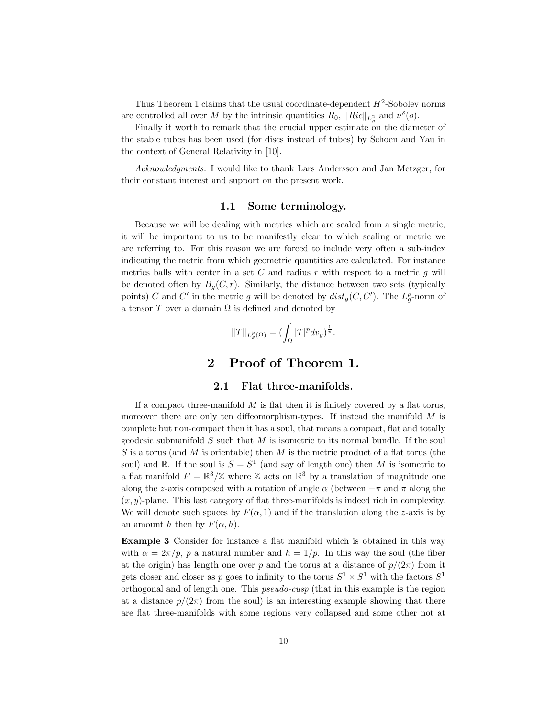Thus Theorem 1 claims that the usual coordinate-dependent  $H^2$ -Sobolev norms are controlled all over M by the intrinsic quantities  $R_0$ ,  $||Ric||_{L_g^2}$  and  $\nu^{\delta}(o)$ .

Finally it worth to remark that the crucial upper estimate on the diameter of the stable tubes has been used (for discs instead of tubes) by Schoen and Yau in the context of General Relativity in [10].

Acknowledgments: I would like to thank Lars Andersson and Jan Metzger, for their constant interest and support on the present work.

### 1.1 Some terminology.

Because we will be dealing with metrics which are scaled from a single metric, it will be important to us to be manifestly clear to which scaling or metric we are referring to. For this reason we are forced to include very often a sub-index indicating the metric from which geometric quantities are calculated. For instance metrics balls with center in a set C and radius r with respect to a metric  $q$  will be denoted often by  $B_q(C, r)$ . Similarly, the distance between two sets (typically points) C and C' in the metric g will be denoted by  $dist_g(C, C')$ . The  $L_g^p$ -norm of a tensor T over a domain  $\Omega$  is defined and denoted by

$$
||T||_{L_g^p(\Omega)} = (\int_{\Omega} |T|^p dv_g)^{\frac{1}{p}}.
$$

# 2 Proof of Theorem 1.

### 2.1 Flat three-manifolds.

If a compact three-manifold  $M$  is flat then it is finitely covered by a flat torus, moreover there are only ten diffeomorphism-types. If instead the manifold M is complete but non-compact then it has a soul, that means a compact, flat and totally geodesic submanifold  $S$  such that  $M$  is isometric to its normal bundle. If the soul S is a torus (and M is orientable) then M is the metric product of a flat torus (the soul) and R. If the soul is  $S = S<sup>1</sup>$  (and say of length one) then M is isometric to a flat manifold  $F = \mathbb{R}^3/\mathbb{Z}$  where  $\mathbb Z$  acts on  $\mathbb{R}^3$  by a translation of magnitude one along the z-axis composed with a rotation of angle  $\alpha$  (between  $-\pi$  and  $\pi$  along the  $(x, y)$ -plane. This last category of flat three-manifolds is indeed rich in complexity. We will denote such spaces by  $F(\alpha, 1)$  and if the translation along the z-axis is by an amount h then by  $F(\alpha, h)$ .

Example 3 Consider for instance a flat manifold which is obtained in this way with  $\alpha = 2\pi/p$ , p a natural number and  $h = 1/p$ . In this way the soul (the fiber at the origin) has length one over p and the torus at a distance of  $p/(2\pi)$  from it gets closer and closer as p goes to infinity to the torus  $S^1 \times S^1$  with the factors  $S^1$ orthogonal and of length one. This pseudo-cusp (that in this example is the region at a distance  $p/(2\pi)$  from the soul) is an interesting example showing that there are flat three-manifolds with some regions very collapsed and some other not at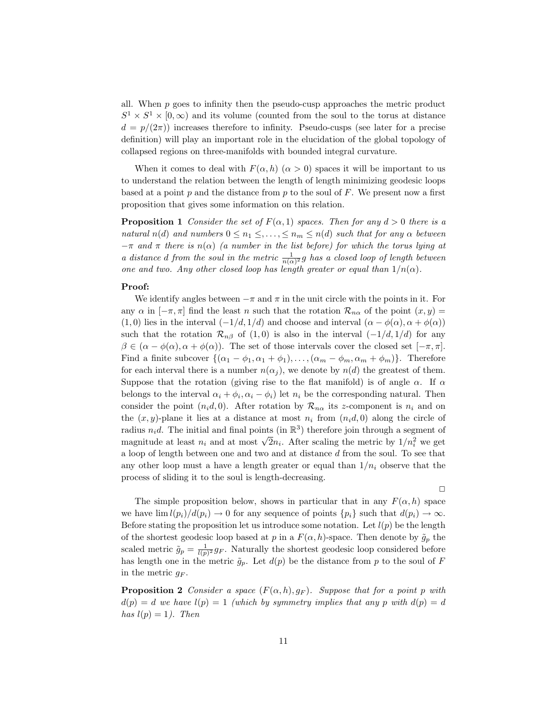all. When  $p$  goes to infinity then the pseudo-cusp approaches the metric product  $S^1 \times S^1 \times [0, \infty)$  and its volume (counted from the soul to the torus at distance  $d = p/(2\pi)$  increases therefore to infinity. Pseudo-cusps (see later for a precise definition) will play an important role in the elucidation of the global topology of collapsed regions on three-manifolds with bounded integral curvature.

When it comes to deal with  $F(\alpha, h)$   $(\alpha > 0)$  spaces it will be important to us to understand the relation between the length of length minimizing geodesic loops based at a point  $p$  and the distance from  $p$  to the soul of  $F$ . We present now a first proposition that gives some information on this relation.

**Proposition 1** Consider the set of  $F(\alpha, 1)$  spaces. Then for any  $d > 0$  there is a natural n(d) and numbers  $0 \leq n_1 \leq \ldots \leq n_m \leq n(d)$  such that for any  $\alpha$  between  $-\pi$  and  $\pi$  there is n( $\alpha$ ) (a number in the list before) for which the torus lying at a distance d from the soul in the metric  $\frac{1}{n(\alpha)^2}g$  has a closed loop of length between one and two. Any other closed loop has length greater or equal than  $1/n(\alpha)$ .

#### Proof:

We identify angles between  $-\pi$  and  $\pi$  in the unit circle with the points in it. For any  $\alpha$  in  $[-\pi, \pi]$  find the least n such that the rotation  $\mathcal{R}_{n\alpha}$  of the point  $(x, y)$  $(1,0)$  lies in the interval  $(-1/d, 1/d)$  and choose and interval  $(\alpha - \phi(\alpha), \alpha + \phi(\alpha))$ such that the rotation  $\mathcal{R}_{n\beta}$  of  $(1,0)$  is also in the interval  $(-1/d, 1/d)$  for any  $\beta \in (\alpha - \phi(\alpha), \alpha + \phi(\alpha))$ . The set of those intervals cover the closed set  $[-\pi, \pi]$ . Find a finite subcover  $\{(\alpha_1 - \phi_1, \alpha_1 + \phi_1), \ldots, (\alpha_m - \phi_m, \alpha_m + \phi_m)\}.$  Therefore for each interval there is a number  $n(\alpha_i)$ , we denote by  $n(d)$  the greatest of them. Suppose that the rotation (giving rise to the flat manifold) is of angle  $\alpha$ . If  $\alpha$ belongs to the interval  $\alpha_i + \phi_i$ ,  $\alpha_i - \phi_i$  let  $n_i$  be the corresponding natural. Then consider the point  $(n_i, d, 0)$ . After rotation by  $\mathcal{R}_{n\alpha}$  its z-component is  $n_i$  and on the  $(x, y)$ -plane it lies at a distance at most  $n_i$  from  $(n_i d, 0)$  along the circle of radius  $n_i d$ . The initial and final points (in  $\mathbb{R}^3$ ) therefore join through a segment of radius  $n_i a$ . The finitial and final points (if  $\mathbb{R}$ ) therefore join through a segment of magnitude at least  $n_i$  and at most  $\sqrt{2}n_i$ . After scaling the metric by  $1/n_i^2$  we get a loop of length between one and two and at distance  $d$  from the soul. To see that any other loop must a have a length greater or equal than  $1/n_i$  observe that the process of sliding it to the soul is length-decreasing.

 $\Box$ 

The simple proposition below, shows in particular that in any  $F(\alpha, h)$  space we have  $\lim l(p_i)/d(p_i) \to 0$  for any sequence of points  $\{p_i\}$  such that  $d(p_i) \to \infty$ . Before stating the proposition let us introduce some notation. Let  $l(p)$  be the length of the shortest geodesic loop based at p in a  $F(\alpha, h)$ -space. Then denote by  $\tilde{g}_p$  the scaled metric  $\tilde{g}_p = \frac{1}{l(p)^2} g_F$ . Naturally the shortest geodesic loop considered before has length one in the metric  $\tilde{g}_p$ . Let  $d(p)$  be the distance from p to the soul of F in the metric  $g_F$ .

**Proposition 2** Consider a space  $(F(\alpha, h), q_F)$ . Suppose that for a point p with  $d(p) = d$  we have  $l(p) = 1$  (which by symmetry implies that any p with  $d(p) = d$ has  $l(p) = 1$ . Then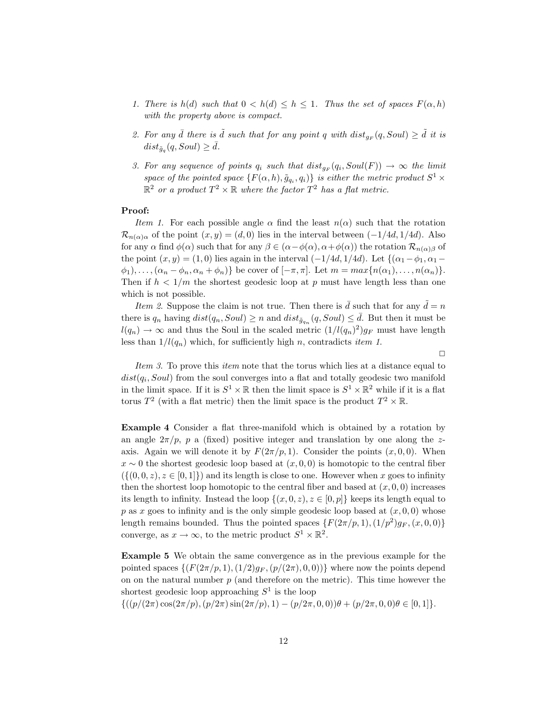- 1. There is  $h(d)$  such that  $0 < h(d) \leq h \leq 1$ . Thus the set of spaces  $F(\alpha, h)$ with the property above is compact.
- 2. For any  $\bar{d}$  there is  $\tilde{d}$  such that for any point q with  $dist_{g_F}(q, Soul) \geq \tilde{d}$  it is  $dist_{\tilde{g}_q}(q, Soul) \geq \overline{d}.$
- 3. For any sequence of points  $q_i$  such that  $dist_{g_F}(q_i, Soul(F)) \to \infty$  the limit space of the pointed space  $\{F(\alpha, h), \tilde{g}_{q_i}, q_i\}$  is either the metric product  $S^1$   $\times$  $\mathbb{R}^2$  or a product  $T^2 \times \mathbb{R}$  where the factor  $T^2$  has a flat metric.

### Proof:

Item 1. For each possible angle  $\alpha$  find the least  $n(\alpha)$  such that the rotation  $\mathcal{R}_{n(\alpha)\alpha}$  of the point  $(x, y) = (d, 0)$  lies in the interval between  $(-1/4d, 1/4d)$ . Also for any  $\alpha$  find  $\phi(\alpha)$  such that for any  $\beta \in (\alpha - \phi(\alpha), \alpha + \phi(\alpha))$  the rotation  $\mathcal{R}_{n(\alpha)\beta}$  of the point  $(x, y) = (1, 0)$  lies again in the interval  $(-1/4d, 1/4d)$ . Let  $\{(\alpha_1 - \phi_1, \alpha_1 - \phi_2, \alpha_2)\}$  $\phi_1, \ldots, \langle \alpha_n - \phi_n, \alpha_n + \phi_n \rangle$  be cover of  $[-\pi, \pi]$ . Let  $m = max\{n(\alpha_1), \ldots, n(\alpha_n)\}.$ Then if  $h < 1/m$  the shortest geodesic loop at p must have length less than one which is not possible.

Item 2. Suppose the claim is not true. Then there is  $\bar{d}$  such that for any  $\bar{d} = n$ there is  $q_n$  having  $dist(q_n, Soul) \geq n$  and  $dist_{\tilde{g}_{qn}}(q, Soul) \leq \overline{d}$ . But then it must be  $l(q_n) \to \infty$  and thus the Soul in the scaled metric  $(1/l(q_n)^2)g_F$  must have length less than  $1/l(q_n)$  which, for sufficiently high n, contradicts *item 1*.

 $\Box$ 

Item 3. To prove this *item* note that the torus which lies at a distance equal to  $dist(q_i, Soul)$  from the soul converges into a flat and totally geodesic two manifold in the limit space. If it is  $S^1 \times \mathbb{R}$  then the limit space is  $S^1 \times \mathbb{R}^2$  while if it is a flat torus  $T^2$  (with a flat metric) then the limit space is the product  $T^2 \times \mathbb{R}$ .

Example 4 Consider a flat three-manifold which is obtained by a rotation by an angle  $2\pi/p$ , p a (fixed) positive integer and translation by one along the zaxis. Again we will denote it by  $F(2\pi/p, 1)$ . Consider the points  $(x, 0, 0)$ . When  $x \sim 0$  the shortest geodesic loop based at  $(x, 0, 0)$  is homotopic to the central fiber  $(\{(0, 0, z), z \in [0, 1]\})$  and its length is close to one. However when x goes to infinity then the shortest loop homotopic to the central fiber and based at  $(x, 0, 0)$  increases its length to infinity. Instead the loop  $\{(x, 0, z), z \in [0, p]\}\)$  keeps its length equal to p as x goes to infinity and is the only simple geodesic loop based at  $(x, 0, 0)$  whose length remains bounded. Thus the pointed spaces  $\{F(2\pi/p, 1), (1/p^2)g_F, (x, 0, 0)\}$ converge, as  $x \to \infty$ , to the metric product  $S^1 \times \mathbb{R}^2$ .

Example 5 We obtain the same convergence as in the previous example for the pointed spaces  $\{(F(2\pi/p, 1), (1/2)g_F, (p/(2\pi), 0, 0))\}$  where now the points depend on on the natural number  $p$  (and therefore on the metric). This time however the shortest geodesic loop approaching  $S^1$  is the loop

 $\{((p/(2\pi)\cos(2\pi/p),(p/2\pi)\sin(2\pi/p),1)-(p/2\pi,0,0))\theta+(p/2\pi,0,0)\theta\in[0,1]\}.$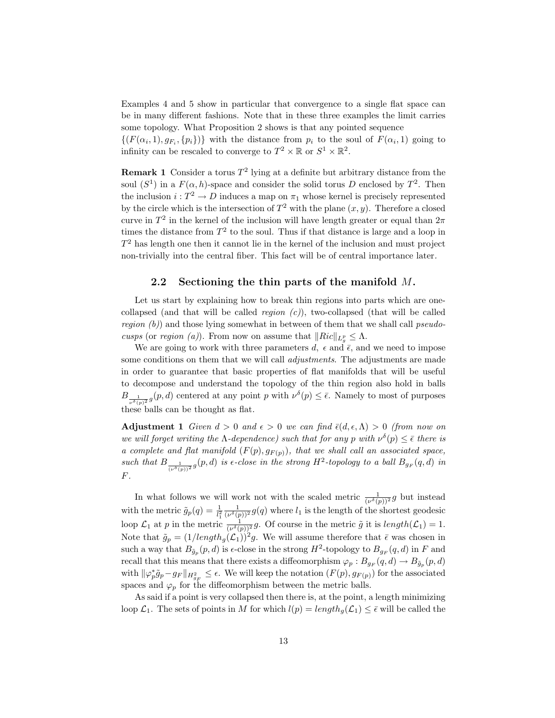Examples 4 and 5 show in particular that convergence to a single flat space can be in many different fashions. Note that in these three examples the limit carries some topology. What Proposition 2 shows is that any pointed sequence

 $\{(F(\alpha_i,1),g_{F_i},\{p_i\})\}\$  with the distance from  $p_i$  to the soul of  $F(\alpha_i,1)$  going to infinity can be rescaled to converge to  $T^2 \times \mathbb{R}$  or  $S^1 \times \mathbb{R}^2$ .

**Remark 1** Consider a torus  $T^2$  lying at a definite but arbitrary distance from the soul  $(S^1)$  in a  $F(\alpha, h)$ -space and consider the solid torus D enclosed by  $T^2$ . Then the inclusion  $i: T^2 \to D$  induces a map on  $\pi_1$  whose kernel is precisely represented by the circle which is the intersection of  $T^2$  with the plane  $(x, y)$ . Therefore a closed curve in  $T^2$  in the kernel of the inclusion will have length greater or equal than  $2\pi$ times the distance from  $T^2$  to the soul. Thus if that distance is large and a loop in  $T<sup>2</sup>$  has length one then it cannot lie in the kernel of the inclusion and must project non-trivially into the central fiber. This fact will be of central importance later.

### 2.2 Sectioning the thin parts of the manifold M.

Let us start by explaining how to break thin regions into parts which are onecollapsed (and that will be called *region*  $(c)$ *)*, two-collapsed (that will be called region  $(b)$ ) and those lying somewhat in between of them that we shall call pseudocusps (or region (a)). From now on assume that  $||Ric||_{L_g^p} \leq \Lambda$ .

We are going to work with three parameters  $d, \epsilon$  and  $\bar{\epsilon}$ , and we need to impose some conditions on them that we will call *adjustments*. The adjustments are made in order to guarantee that basic properties of flat manifolds that will be useful to decompose and understand the topology of the thin region also hold in balls  $B_{\frac{1}{\nu^{\delta}(p)^2}g}(p,d)$  centered at any point p with  $\nu^{\delta}(p) \leq \bar{\epsilon}$ . Namely to most of purposes these balls can be thought as flat.

**Adjustment 1** Given  $d > 0$  and  $\epsilon > 0$  we can find  $\bar{\epsilon}(d, \epsilon, \Lambda) > 0$  (from now on we will forget writing the  $\Lambda$ -dependence) such that for any p with  $\nu^{\delta}(p) \leq \bar{\epsilon}$  there is a complete and flat manifold  $(F(p), g_{F(p)})$ , that we shall call an associated space, such that  $B_{\frac{1}{(\nu^{\delta}(p))^2}g}(p, d)$  is  $\epsilon$ -close in the strong  $H^2$ -topology to a ball  $B_{g_F}(q, d)$  in  $F$  .

In what follows we will work not with the scaled metric  $\frac{1}{(\nu^{\delta}(p))^2}g$  but instead with the metric  $\tilde{g}_p(q) = \frac{1}{l_1^2}$  $\frac{1}{(\nu^{\delta}(p))^2}g(q)$  where  $l_1$  is the length of the shortest geodesic loop  $\mathcal{L}_1$  at p in the metric  $\frac{1}{(\nu^{\delta}(p))^2}g$ . Of course in the metric  $\tilde{g}$  it is length $(\mathcal{L}_1) = 1$ . Note that  $\tilde{g}_p = (1/length_g(\mathcal{L}_1))^2 g$ . We will assume therefore that  $\bar{\epsilon}$  was chosen in such a way that  $B_{\tilde{g}_p}(p,d)$  is  $\epsilon$ -close in the strong  $H^2$ -topology to  $B_{g_F}(q,d)$  in F and recall that this means that there exists a diffeomorphism  $\varphi_p : B_{g_F}(q, d) \to B_{\tilde{g}_p}(p, d)$ with  $\|\varphi_p^*\tilde{g}_p - g_F\|_{H^2_{g_F}} \leq \epsilon$ . We will keep the notation  $(F(p), g_{F(p)})$  for the associated spaces and  $\varphi_p$  for the diffeomorphism between the metric balls.

As said if a point is very collapsed then there is, at the point, a length minimizing loop  $\mathcal{L}_1$ . The sets of points in M for which  $l(p) = length_q(\mathcal{L}_1) \leq \bar{\epsilon}$  will be called the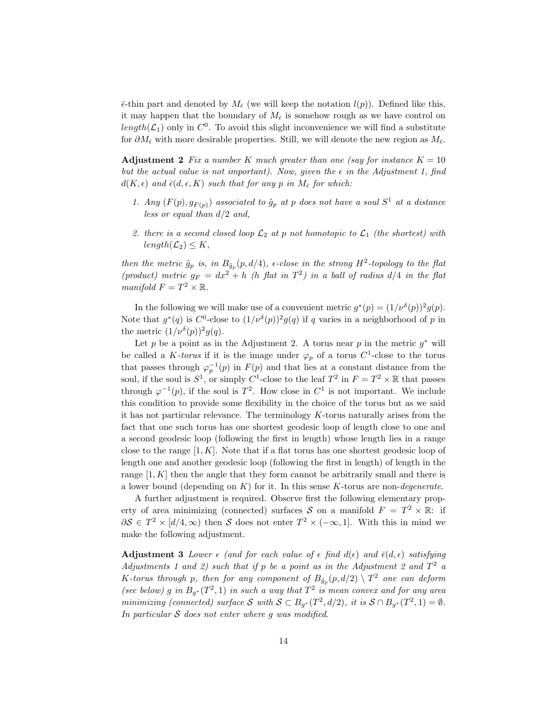$\bar{\epsilon}$ -thin part and denoted by  $M_{\bar{\epsilon}}$  (we will keep the notation  $l(p)$ ). Defined like this, it may happen that the boundary of  $M_{\bar{\epsilon}}$  is somehow rough as we have control on length( $\mathcal{L}_1$ ) only in  $C^0$ . To avoid this slight inconvenience we will find a substitute for  $\partial M_{\bar{\epsilon}}$  with more desirable properties. Still, we will denote the new region as  $M_{\bar{\epsilon}}$ .

Adjustment 2 Fix a number K much greater than one (say for instance  $K = 10$ ) but the actual value is not important). Now, given the  $\epsilon$  in the Adjustment 1, find  $d(K, \epsilon)$  and  $\bar{\epsilon}(d, \epsilon, K)$  such that for any p in  $M_{\bar{\epsilon}}$  for which:

- 1. Any  $(F(p), g_{F(p)})$  associated to  $\tilde{g}_p$  at p does not have a soul  $S^1$  at a distance less or equal than  $d/2$  and,
- 2. there is a second closed loop  $\mathcal{L}_2$  at p not homotopic to  $\mathcal{L}_1$  (the shortest) with  $length(\mathcal{L}_2) \leq K$ ,

then the metric  $\tilde{g}_p$  is, in  $B_{\tilde{g}_p}(p,d/4)$ ,  $\epsilon$ -close in the strong  $H^2$ -topology to the flat (product) metric  $g_F = dx^2 + h$  (h flat in  $T^2$ ) in a ball of radius  $d/4$  in the flat manifold  $F = T^2 \times \mathbb{R}$ .

In the following we will make use of a convenient metric  $g^*(p) = (1/\nu^{\delta}(p))^2 g(p)$ . Note that  $g^*(q)$  is  $C^0$ -close to  $(1/\nu^{\delta}(p))^2 g(q)$  if q varies in a neighborhood of p in the metric  $(1/\nu^{\delta}(p))^2 g(q)$ .

Let p be a point as in the Adjustment 2. A torus near p in the metric  $g^*$  will be called a K-torus if it is the image under  $\varphi_p$  of a torus C<sup>1</sup>-close to the torus that passes through  $\varphi_p^{-1}(p)$  in  $F(p)$  and that lies at a constant distance from the soul, if the soul is  $S^1$ , or simply C<sup>1</sup>-close to the leaf  $T^2$  in  $F = T^2 \times \mathbb{R}$  that passes through  $\varphi^{-1}(p)$ , if the soul is  $T^2$ . How close in  $C^1$  is not important. We include this condition to provide some flexibility in the choice of the torus but as we said it has not particular relevance. The terminology K-torus naturally arises from the fact that one such torus has one shortest geodesic loop of length close to one and a second geodesic loop (following the first in length) whose length lies in a range close to the range  $[1, K]$ . Note that if a flat torus has one shortest geodesic loop of length one and another geodesic loop (following the first in length) of length in the range  $[1, K]$  then the angle that they form cannot be arbitrarily small and there is a lower bound (depending on  $K$ ) for it. In this sense  $K$ -torus are non-*degenerate*.

A further adjustment is required. Observe first the following elementary property of area minimizing (connected) surfaces S on a manifold  $F = T^2 \times \mathbb{R}$ : if  $\partial S \in T^2 \times [d/4,\infty)$  then S does not enter  $T^2 \times (-\infty,1]$ . With this in mind we make the following adjustment.

**Adjustment 3** Lower  $\epsilon$  (and for each value of  $\epsilon$  find  $d(\epsilon)$  and  $\bar{\epsilon}(d, \epsilon)$  satisfying Adjustments 1 and 2) such that if p be a point as in the Adjustment 2 and  $T^2$  a K-torus through p, then for any component of  $B_{\tilde{g}_p}(p,d/2) \setminus T^2$  one can deform (see below) g in  $B_{g^*}(T^2,1)$  in such a way that  $T^2$  is mean convex and for any area minimizing (connected) surface S with  $S \subset B_{g^*}(T^2, d/2)$ , it is  $S \cap B_{g^*}(T^2, 1) = \emptyset$ . In particular  $S$  does not enter where q was modified.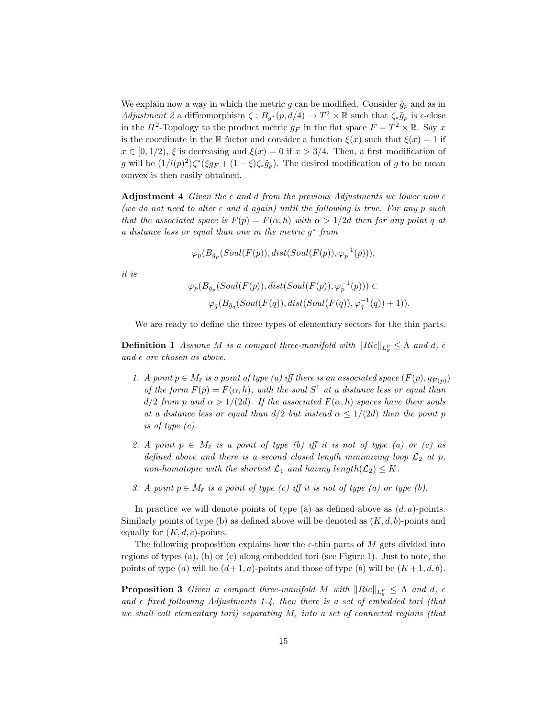We explain now a way in which the metric g can be modified. Consider  $\tilde{g}_p$  and as in Adjustment 2 a diffeomorphism  $\zeta : B_{g^*}(p, d/4) \to T^2 \times \mathbb{R}$  such that  $\zeta_* \tilde{g}_p$  is  $\epsilon$ -close in the  $H^2$ -Topology to the product metric  $g_F$  in the flat space  $F = T^2 \times \mathbb{R}$ . Say x is the coordinate in the R factor and consider a function  $\xi(x)$  such that  $\xi(x) = 1$  if  $x \in [0, 1/2), \xi$  is decreasing and  $\xi(x) = 0$  if  $x > 3/4$ . Then, a first modification of g will be  $(1/l(p)^2)\zeta^*(\xi g_F + (1-\xi)\zeta_*\tilde{g}_p)$ . The desired modification of g to be mean convex is then easily obtained.

**Adjustment 4** Given the  $\epsilon$  and d from the previous Adjustments we lower now  $\bar{\epsilon}$ (we do not need to alter  $\epsilon$  and d again) until the following is true. For any p such that the associated space is  $F(p) = F(\alpha, h)$  with  $\alpha > 1/2d$  then for any point q at a distance less or equal than one in the metric  $g^*$  from

$$
\varphi_p(B_{\tilde{g}_p}(Soul(F(p)),dist(Soul(F(p)),\varphi_p^{-1}(p))),
$$

it is

$$
\varphi_p(B_{\tilde{g}_p}(Soul(F(p)),dist(Soul(F(p)), \varphi_p^{-1}(p))) \subset
$$
  

$$
\varphi_q(B_{\tilde{g}_q}(Soul(F(q)),dist(Soul(F(q)), \varphi_q^{-1}(q)) + 1))
$$

We are ready to define the three types of elementary sectors for the thin parts.

**Definition 1** Assume M is a compact three-manifold with  $\|Ric\|_{L_g^p} \leq \Lambda$  and d,  $\bar{\epsilon}$ and  $\epsilon$  are chosen as above.

- 1. A point  $p \in M_{\bar{\epsilon}}$  is a point of type (a) iff there is an associated space  $(F(p), g_{F(p)})$ of the form  $F(p) = F(\alpha, h)$ , with the soul  $S^1$  at a distance less or equal than  $d/2$  from p and  $\alpha > 1/(2d)$ . If the associated  $F(\alpha, h)$  spaces have their souls at a distance less or equal than  $d/2$  but instead  $\alpha \leq 1/(2d)$  then the point p is of type (c).
- 2. A point  $p \in M_{\bar{\epsilon}}$  is a point of type (b) iff it is not of type (a) or (c) as defined above and there is a second closed length minimizing loop  $\mathcal{L}_2$  at p, non-homotopic with the shortest  $\mathcal{L}_1$  and having length( $\mathcal{L}_2$ )  $\leq K$ .
- 3. A point  $p \in M_{\bar{\epsilon}}$  is a point of type (c) iff it is not of type (a) or type (b).

In practice we will denote points of type (a) as defined above as  $(d, a)$ -points. Similarly points of type (b) as defined above will be denoted as  $(K, d, b)$ -points and equally for  $(K, d, c)$ -points.

The following proposition explains how the  $\bar{\epsilon}$ -thin parts of M gets divided into regions of types (a), (b) or (c) along embedded tori (see Figure 1). Just to note, the points of type (a) will be  $(d+1, a)$ -points and those of type (b) will be  $(K+1, d, b)$ .

**Proposition 3** Given a compact three-manifold M with  $||Ric||_{L_g^p} \leq \Lambda$  and d,  $\bar{\epsilon}$ and  $\epsilon$  fixed following Adjustments 1-4, then there is a set of embedded tori (that we shall call elementary tori) separating  $M_{\bar{\epsilon}}$  into a set of connected regions (that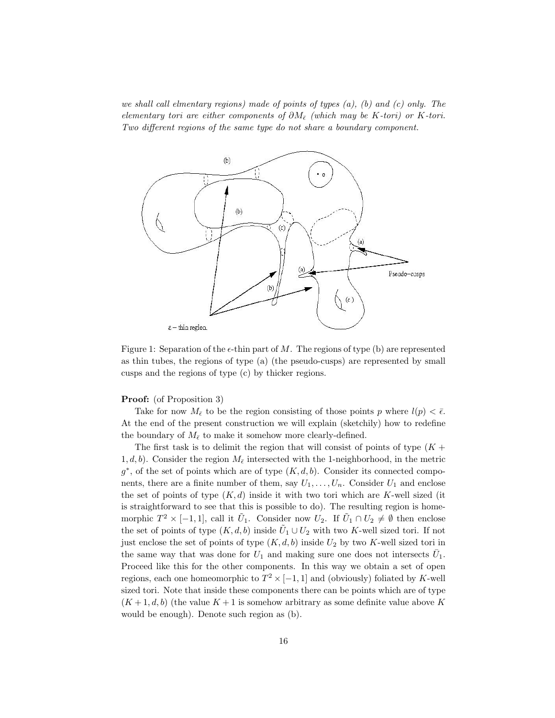we shall call elmentary regions) made of points of types  $(a)$ ,  $(b)$  and  $(c)$  only. The elementary tori are either components of  $\partial M_{\bar{\epsilon}}$  (which may be K-tori) or K-tori. Two different regions of the same type do not share a boundary component.



Figure 1: Separation of the  $\epsilon$ -thin part of M. The regions of type (b) are represented as thin tubes, the regions of type (a) (the pseudo-cusps) are represented by small cusps and the regions of type (c) by thicker regions.

#### Proof: (of Proposition 3)

Take for now  $M_{\bar{\epsilon}}$  to be the region consisting of those points p where  $l(p) < \bar{\epsilon}$ . At the end of the present construction we will explain (sketchily) how to redefine the boundary of  $M_{\bar{\epsilon}}$  to make it somehow more clearly-defined.

The first task is to delimit the region that will consist of points of type  $(K +$ 1, d, b). Consider the region  $M_{\bar{\epsilon}}$  intersected with the 1-neighborhood, in the metric  $g^*$ , of the set of points which are of type  $(K, d, b)$ . Consider its connected components, there are a finite number of them, say  $U_1, \ldots, U_n$ . Consider  $U_1$  and enclose the set of points of type  $(K, d)$  inside it with two tori which are K-well sized (it is straightforward to see that this is possible to do). The resulting region is homemorphic  $T^2 \times [-1,1]$ , call it  $\tilde{U}_1$ . Consider now  $U_2$ . If  $\tilde{U}_1 \cap U_2 \neq \emptyset$  then enclose the set of points of type  $(K, d, b)$  inside  $\tilde{U}_1 \cup U_2$  with two K-well sized tori. If not just enclose the set of points of type  $(K, d, b)$  inside  $U_2$  by two K-well sized tori in the same way that was done for  $U_1$  and making sure one does not intersects  $\bar{U}_1$ . Proceed like this for the other components. In this way we obtain a set of open regions, each one homeomorphic to  $T^2 \times [-1,1]$  and (obviously) foliated by K-well sized tori. Note that inside these components there can be points which are of type  $(K+1, d, b)$  (the value  $K+1$  is somehow arbitrary as some definite value above K would be enough). Denote such region as (b).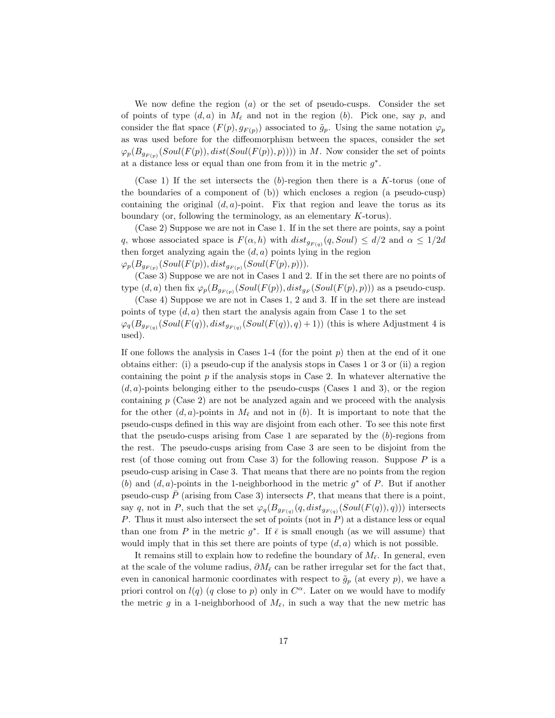We now define the region  $(a)$  or the set of pseudo-cusps. Consider the set of points of type  $(d, a)$  in  $M_{\bar{\epsilon}}$  and not in the region (b). Pick one, say p, and consider the flat space  $(F(p), g_{F(p)})$  associated to  $\tilde{g}_p$ . Using the same notation  $\varphi_p$ as was used before for the diffeomorphism between the spaces, consider the set  $\varphi_p(B_{g_{F(p)}}(Soul(F(p)), dist(Soul(F(p)), p))))$  in M. Now consider the set of points at a distance less or equal than one from from it in the metric  $g^*$ .

(Case 1) If the set intersects the  $(b)$ -region then there is a K-torus (one of the boundaries of a component of (b)) which encloses a region (a pseudo-cusp) containing the original  $(d, a)$ -point. Fix that region and leave the torus as its boundary (or, following the terminology, as an elementary K-torus).

(Case 2) Suppose we are not in Case 1. If in the set there are points, say a point q, whose associated space is  $F(\alpha, h)$  with  $dist_{g_{F(q)}}(q, Soul) \leq d/2$  and  $\alpha \leq 1/2d$ then forget analyzing again the  $(d, a)$  points lying in the region  $\varphi_p(B_{g_{F(p)}}(Soul(F(p)), dist_{g_{F(p)}}(Soul(F(p), p))).$ 

(Case 3) Suppose we are not in Cases 1 and 2. If in the set there are no points of type  $(d, a)$  then fix  $\varphi_p(B_{g_{F(p)}}(Soul(F(p)), dist_{g_F}(Soul(F(p), p)))$  as a pseudo-cusp.

(Case 4) Suppose we are not in Cases 1, 2 and 3. If in the set there are instead points of type  $(d, a)$  then start the analysis again from Case 1 to the set  $\varphi_q(B_{g_{F(q)}}(Soul(F(q)), dist_{g_{F(q)}}(Soul(F(q)), q) + 1))$  (this is where Adjustment 4 is used).

If one follows the analysis in Cases  $1-4$  (for the point p) then at the end of it one obtains either: (i) a pseudo-cup if the analysis stops in Cases 1 or 3 or (ii) a region containing the point  $p$  if the analysis stops in Case 2. In whatever alternative the  $(d, a)$ -points belonging either to the pseudo-cusps (Cases 1 and 3), or the region containing  $p$  (Case 2) are not be analyzed again and we proceed with the analysis for the other  $(d, a)$ -points in  $M_{\bar{\epsilon}}$  and not in (b). It is important to note that the pseudo-cusps defined in this way are disjoint from each other. To see this note first that the pseudo-cusps arising from Case 1 are separated by the  $(b)$ -regions from the rest. The pseudo-cusps arising from Case 3 are seen to be disjoint from the rest (of those coming out from Case 3) for the following reason. Suppose  $P$  is a pseudo-cusp arising in Case 3. That means that there are no points from the region (b) and  $(d, a)$ -points in the 1-neighborhood in the metric  $g^*$  of P. But if another pseudo-cusp  $\bar{P}$  (arising from Case 3) intersects P, that means that there is a point, say q, not in P, such that the set  $\varphi_q(B_{g_{F(q)}}(q, dist_{g_{F(q)}}(Soul(F(q)), q)))$  intersects P. Thus it must also intersect the set of points (not in  $P$ ) at a distance less or equal than one from P in the metric  $g^*$ . If  $\bar{\epsilon}$  is small enough (as we will assume) that would imply that in this set there are points of type  $(d, a)$  which is not possible.

It remains still to explain how to redefine the boundary of  $M_{\bar{\epsilon}}$ . In general, even at the scale of the volume radius,  $\partial M_{\bar{\epsilon}}$  can be rather irregular set for the fact that, even in canonical harmonic coordinates with respect to  $\tilde{g}_p$  (at every p), we have a priori control on  $l(q)$  (q close to p) only in  $C^{\alpha}$ . Later on we would have to modify the metric g in a 1-neighborhood of  $M_{\bar{\epsilon}}$ , in such a way that the new metric has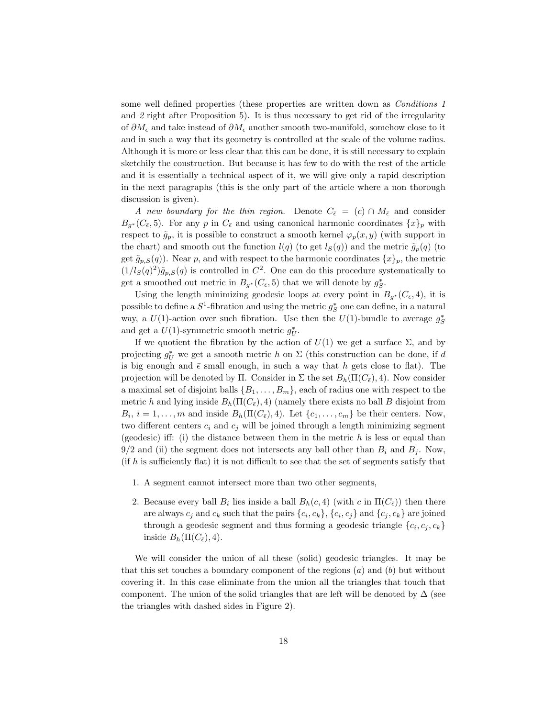some well defined properties (these properties are written down as *Conditions 1* and 2 right after Proposition 5). It is thus necessary to get rid of the irregularity of  $\partial M_{\bar{\epsilon}}$  and take instead of  $\partial M_{\bar{\epsilon}}$  another smooth two-manifold, somehow close to it and in such a way that its geometry is controlled at the scale of the volume radius. Although it is more or less clear that this can be done, it is still necessary to explain sketchily the construction. But because it has few to do with the rest of the article and it is essentially a technical aspect of it, we will give only a rapid description in the next paragraphs (this is the only part of the article where a non thorough discussion is given).

A new boundary for the thin region. Denote  $C_{\bar{\epsilon}} = (c) \cap M_{\bar{\epsilon}}$  and consider  $B_{g^*}(C_{\bar{\epsilon}}, 5)$ . For any p in  $C_{\bar{\epsilon}}$  and using canonical harmonic coordinates  $\{x\}_p$  with respect to  $\tilde{g}_p$ , it is possible to construct a smooth kernel  $\varphi_p(x, y)$  (with support in the chart) and smooth out the function  $l(q)$  (to get  $l_S(q)$ ) and the metric  $\tilde{g}_p(q)$  (to get  $\tilde{g}_{p,S}(q)$ . Near p, and with respect to the harmonic coordinates  $\{x\}_p$ , the metric  $(1/l_S(q)^2)\tilde{g}_{p,S}(q)$  is controlled in  $C^2$ . One can do this procedure systematically to get a smoothed out metric in  $B_{g^*}(C_{\bar{\epsilon}}, 5)$  that we will denote by  $g^*_{S}$ .

Using the length minimizing geodesic loops at every point in  $B_{g^*}(C_{\bar{\epsilon}}, 4)$ , it is possible to define a  $S^1$ -fibration and using the metric  $g_S^*$  one can define, in a natural way, a  $U(1)$ -action over such fibration. Use then the  $U(1)$ -bundle to average  $g_S^*$ and get a  $U(1)$ -symmetric smooth metric  $g_U^*$ .

If we quotient the fibration by the action of  $U(1)$  we get a surface  $\Sigma$ , and by projecting  $g_U^*$  we get a smooth metric h on  $\Sigma$  (this construction can be done, if d is big enough and  $\bar{\epsilon}$  small enough, in such a way that h gets close to flat). The projection will be denoted by Π. Consider in  $\Sigma$  the set  $B_h(\Pi(C_{\bar{\epsilon}}), 4)$ . Now consider a maximal set of disjoint balls  $\{B_1, \ldots, B_m\}$ , each of radius one with respect to the metric h and lying inside  $B_h(\Pi(C_{\bar{\epsilon}}), 4)$  (namely there exists no ball B disjoint from  $B_i$ ,  $i = 1, \ldots, m$  and inside  $B_h(\Pi(C_{\bar{\epsilon}}), 4)$ . Let  $\{c_1, \ldots, c_m\}$  be their centers. Now, two different centers  $c_i$  and  $c_j$  will be joined through a length minimizing segment (geodesic) iff: (i) the distance between them in the metric  $h$  is less or equal than  $9/2$  and (ii) the segment does not intersects any ball other than  $B_i$  and  $B_j$ . Now, (if h is sufficiently flat) it is not difficult to see that the set of segments satisfy that

- 1. A segment cannot intersect more than two other segments,
- 2. Because every ball  $B_i$  lies inside a ball  $B_h(c, 4)$  (with c in  $\Pi(C_{\bar{\epsilon}})$ ) then there are always  $c_j$  and  $c_k$  such that the pairs  $\{c_i, c_k\}$ ,  $\{c_i, c_j\}$  and  $\{c_j, c_k\}$  are joined through a geodesic segment and thus forming a geodesic triangle  $\{c_i, c_j, c_k\}$ inside  $B_h(\Pi(C_{\bar{\epsilon}}), 4)$ .

We will consider the union of all these (solid) geodesic triangles. It may be that this set touches a boundary component of the regions  $(a)$  and  $(b)$  but without covering it. In this case eliminate from the union all the triangles that touch that component. The union of the solid triangles that are left will be denoted by  $\Delta$  (see the triangles with dashed sides in Figure 2).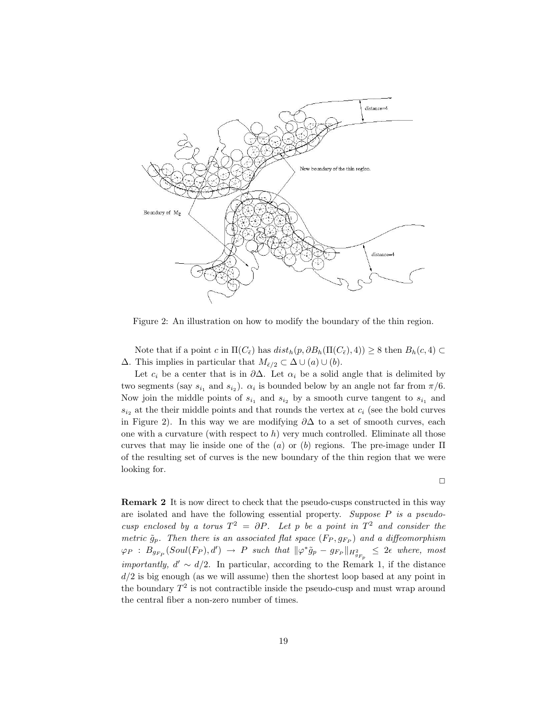

Figure 2: An illustration on how to modify the boundary of the thin region.

Note that if a point c in  $\Pi(C_{\bar{\epsilon}})$  has  $dist_h(p, \partial B_h(\Pi(C_{\bar{\epsilon}}), 4)) \geq 8$  then  $B_h(c, 4) \subset$  $\Delta$ . This implies in particular that  $M_{\bar{\epsilon}/2} \subset \Delta \cup (a) \cup (b)$ .

Let  $c_i$  be a center that is in  $\partial \Delta$ . Let  $\alpha_i$  be a solid angle that is delimited by two segments (say  $s_{i_1}$  and  $s_{i_2}$ ).  $\alpha_i$  is bounded below by an angle not far from  $\pi/6$ . Now join the middle points of  $s_{i_1}$  and  $s_{i_2}$  by a smooth curve tangent to  $s_{i_1}$  and  $s_{i_2}$  at the their middle points and that rounds the vertex at  $c_i$  (see the bold curves in Figure 2). In this way we are modifying  $\partial \Delta$  to a set of smooth curves, each one with a curvature (with respect to  $h$ ) very much controlled. Eliminate all those curves that may lie inside one of the  $(a)$  or  $(b)$  regions. The pre-image under  $\Pi$ of the resulting set of curves is the new boundary of the thin region that we were looking for.

 $\Box$ 

Remark 2 It is now direct to check that the pseudo-cusps constructed in this way are isolated and have the following essential property. Suppose  $P$  is a pseudocusp enclosed by a torus  $T^2 = \partial P$ . Let p be a point in  $T^2$  and consider the metric  $\tilde{g}_p$ . Then there is an associated flat space  $(F_P, g_{F_P})$  and a diffeomorphism  $\varphi_P : B_{g_{F_P}}(Soul(F_P), d') \rightarrow P$  such that  $\|\varphi^*\tilde{g}_p - g_{F_P}\|_{H^2_{g_{F_p}}} \leq 2\epsilon$  where, most *importantly, d'*  $\sim d/2$ . In particular, according to the Remark 1, if the distance  $d/2$  is big enough (as we will assume) then the shortest loop based at any point in the boundary  $T^2$  is not contractible inside the pseudo-cusp and must wrap around the central fiber a non-zero number of times.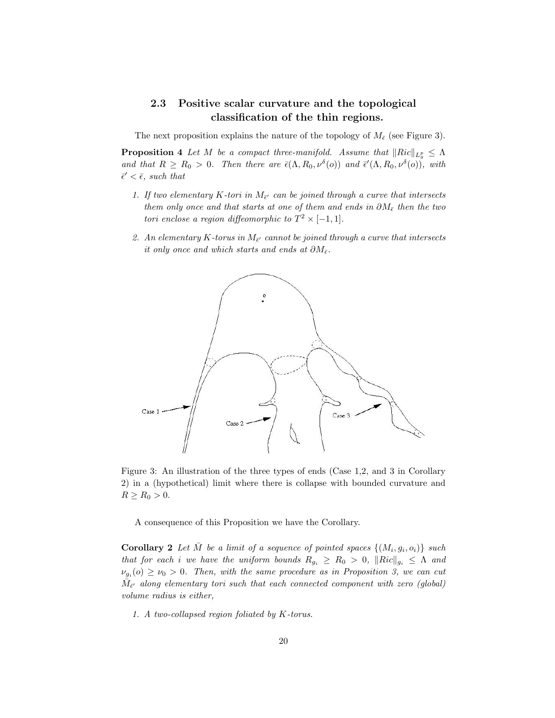## 2.3 Positive scalar curvature and the topological classification of the thin regions.

The next proposition explains the nature of the topology of  $M_{\bar{\epsilon}}$  (see Figure 3).

**Proposition 4** Let M be a compact three-manifold. Assume that  $||Ric||_{L_g^p} \leq \Lambda$ and that  $R \ge R_0 > 0$ . Then there are  $\bar{\epsilon}(\Lambda, R_0, \nu^{\delta}(o))$  and  $\bar{\epsilon}'(\Lambda, R_0, \nu^{\delta}(o))$ , with  $\bar{\epsilon}^{\prime} < \bar{\epsilon}$ , such that

- 1. If two elementary K-tori in  $M_{\bar{\epsilon}}$  can be joined through a curve that intersects them only once and that starts at one of them and ends in  $\partial M_{\bar{\epsilon}}$  then the two tori enclose a region diffeomorphic to  $T^2 \times [-1,1]$ .
- 2. An elementary K-torus in  $M_{\bar{\epsilon}'}$  cannot be joined through a curve that intersects it only once and which starts and ends at  $\partial M_{\bar{\epsilon}}$ .



Figure 3: An illustration of the three types of ends (Case 1,2, and 3 in Corollary 2) in a (hypothetical) limit where there is collapse with bounded curvature and  $R \ge R_0 > 0.$ 

A consequence of this Proposition we have the Corollary.

**Corollary 2** Let  $\overline{M}$  be a limit of a sequence of pointed spaces  $\{(M_i, g_i, o_i)\}$  such that for each i we have the uniform bounds  $R_{g_i} \ge R_0 > 0$ ,  $||Ric||_{g_i} \le \Lambda$  and  $\nu_{g_i}(o) \geq \nu_0 > 0$ . Then, with the same procedure as in Proposition 3, we can cut  $\bar{\dot{M}}_{\bar{\epsilon}'}$  along elementary tori such that each connected component with zero (global) volume radius is either,

1. A two-collapsed region foliated by K-torus.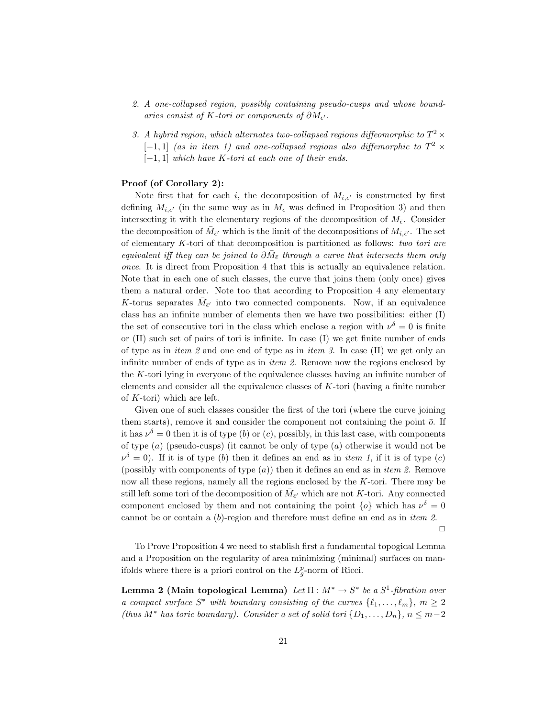- 2. A one-collapsed region, possibly containing pseudo-cusps and whose boundaries consist of K-tori or components of  $\partial M_{\bar{\epsilon}}$ .
- 3. A hybrid region, which alternates two-collapsed regions diffeomorphic to  $T^2 \times$  $[-1,1]$  (as in item 1) and one-collapsed regions also diffemorphic to  $T^2 \times$  $[-1, 1]$  which have K-tori at each one of their ends.

### Proof (of Corollary 2):

Note first that for each i, the decomposition of  $M_{i, \bar{\epsilon}'}$  is constructed by first defining  $M_{i,\bar{\epsilon}'}$  (in the same way as in  $M_{\bar{\epsilon}}$  was defined in Proposition 3) and then intersecting it with the elementary regions of the decomposition of  $M_{\bar{e}}$ . Consider the decomposition of  $\bar{M}_{\bar{\epsilon}}$  which is the limit of the decompositions of  $M_{i,\bar{\epsilon}}$ . The set of elementary K-tori of that decomposition is partitioned as follows: two tori are equivalent iff they can be joined to  $\partial \overline{M}_{\bar{\epsilon}}$  through a curve that intersects them only once. It is direct from Proposition 4 that this is actually an equivalence relation. Note that in each one of such classes, the curve that joins them (only once) gives them a natural order. Note too that according to Proposition 4 any elementary K-torus separates  $\bar{M}_{\bar{\epsilon}'}$  into two connected components. Now, if an equivalence class has an infinite number of elements then we have two possibilities: either (I) the set of consecutive tori in the class which enclose a region with  $\nu^{\delta} = 0$  is finite or (II) such set of pairs of tori is infinite. In case (I) we get finite number of ends of type as in *item 2* and one end of type as in *item 3*. In case (II) we get only an infinite number of ends of type as in item 2. Remove now the regions enclosed by the K-tori lying in everyone of the equivalence classes having an infinite number of elements and consider all the equivalence classes of K-tori (having a finite number of  $K$ -tori) which are left.

Given one of such classes consider the first of the tori (where the curve joining them starts), remove it and consider the component not containing the point  $\bar{o}$ . If it has  $\nu^{\delta} = 0$  then it is of type (b) or (c), possibly, in this last case, with components of type  $(a)$  (pseudo-cusps) (it cannot be only of type  $(a)$  otherwise it would not be  $\nu^{\delta} = 0$ ). If it is of type (b) then it defines an end as in *item 1*, if it is of type (c) (possibly with components of type  $(a)$ ) then it defines an end as in *item 2*. Remove now all these regions, namely all the regions enclosed by the K-tori. There may be still left some tori of the decomposition of  $\overline{M}_{\bar{\epsilon}'}$  which are not K-tori. Any connected component enclosed by them and not containing the point  $\{o\}$  which has  $\nu^{\delta} = 0$ cannot be or contain a  $(b)$ -region and therefore must define an end as in *item 2*.

 $\Box$ 

To Prove Proposition 4 we need to stablish first a fundamental topogical Lemma and a Proposition on the regularity of area minimizing (minimal) surfaces on manifolds where there is a priori control on the  $L_g^p$ -norm of Ricci.

Lemma 2 (Main topological Lemma) Let  $\Pi : M^* \to S^*$  be a  $S^1$ -fibration over a compact surface  $S^*$  with boundary consisting of the curves  $\{\ell_1, \ldots, \ell_m\}, m \geq 2$ (thus  $M^*$  has toric boundary). Consider a set of solid tori  $\{D_1, \ldots, D_n\}, n \leq m-2$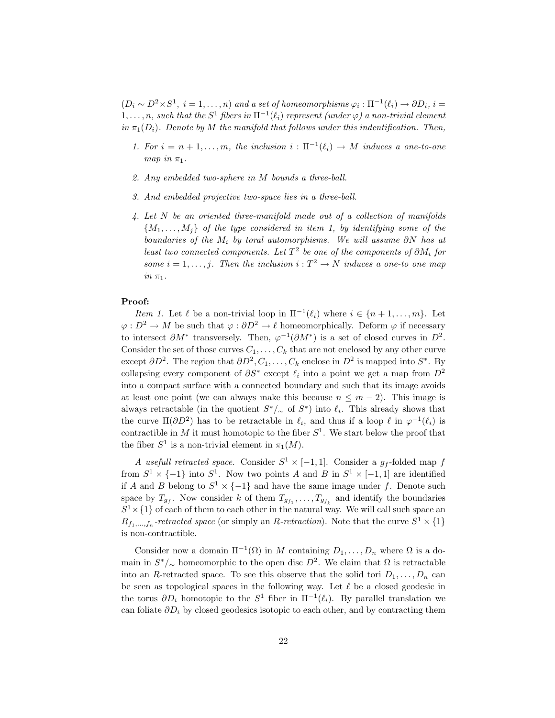$(D_i \sim D^2 \times S^1, i = 1, ..., n)$  and a set of homeomorphisms  $\varphi_i : \Pi^{-1}(\ell_i) \to \partial D_i, i =$  $1, \ldots, n$ , such that the  $S^1$  fibers in  $\Pi^{-1}(\ell_i)$  represent (under  $\varphi$ ) a non-trivial element in  $\pi_1(D_i)$ . Denote by M the manifold that follows under this indentification. Then,

- 1. For  $i = n + 1, \ldots, m$ , the inclusion  $i : \Pi^{-1}(\ell_i) \to M$  induces a one-to-one map in  $\pi_1$ .
- 2. Any embedded two-sphere in M bounds a three-ball.
- 3. And embedded projective two-space lies in a three-ball.
- 4. Let N be an oriented three-manifold made out of a collection of manifolds  ${M_1, \ldots, M_i}$  of the type considered in item 1, by identifying some of the boundaries of the  $M_i$  by toral automorphisms. We will assume  $\partial N$  has at least two connected components. Let  $T^2$  be one of the components of  $\partial M_i$  for some  $i = 1, \ldots, j$ . Then the inclusion  $i : T^2 \to N$  induces a one-to one map in  $\pi_1$ .

### Proof:

*Item 1*. Let  $\ell$  be a non-trivial loop in  $\Pi^{-1}(\ell_i)$  where  $i \in \{n+1,\ldots,m\}$ . Let  $\varphi : D^2 \to M$  be such that  $\varphi : \partial D^2 \to \ell$  homeomorphically. Deform  $\varphi$  if necessary to intersect  $\partial M^*$  transversely. Then,  $\varphi^{-1}(\partial M^*)$  is a set of closed curves in  $D^2$ . Consider the set of those curves  $C_1, \ldots, C_k$  that are not enclosed by any other curve except  $\partial D^2$ . The region that  $\partial D^2, C_1, \ldots, C_k$  enclose in  $D^2$  is mapped into  $S^*$ . By collapsing every component of  $\partial S^*$  except  $\ell_i$  into a point we get a map from  $D^2$ into a compact surface with a connected boundary and such that its image avoids at least one point (we can always make this because  $n \leq m - 2$ ). This image is always retractable (in the quotient  $S^*/\sim$  of  $S^*$ ) into  $\ell_i$ . This already shows that the curve  $\Pi(\partial D^2)$  has to be retractable in  $\ell_i$ , and thus if a loop  $\ell$  in  $\varphi^{-1}(\ell_i)$  is contractible in  $M$  it must homotopic to the fiber  $S^1$ . We start below the proof that the fiber  $S^1$  is a non-trivial element in  $\pi_1(M)$ .

A usefull retracted space. Consider  $S^1 \times [-1,1]$ . Consider a g<sub>f</sub>-folded map f from  $S^1 \times \{-1\}$  into  $S^1$ . Now two points A and B in  $S^1 \times [-1,1]$  are identified if A and B belong to  $S^1 \times \{-1\}$  and have the same image under f. Denote such space by  $T_{g_f}$ . Now consider k of them  $T_{g_{f_1}}, \ldots, T_{g_{f_k}}$  and identify the boundaries  $S^1 \times \{1\}$  of each of them to each other in the natural way. We will call such space an  $R_{f_1,\,\ldots,f_n}$ -retracted space (or simply an R-retraction). Note that the curve  $S^1 \times \{1\}$ is non-contractible.

Consider now a domain  $\Pi^{-1}(\Omega)$  in M containing  $D_1, \ldots, D_n$  where  $\Omega$  is a domain in  $S^*/\sim$  homeomorphic to the open disc  $D^2$ . We claim that  $\Omega$  is retractable into an R-retracted space. To see this observe that the solid tori  $D_1, \ldots, D_n$  can be seen as topological spaces in the following way. Let  $\ell$  be a closed geodesic in the torus  $\partial D_i$  homotopic to the  $S^1$  fiber in  $\Pi^{-1}(\ell_i)$ . By parallel translation we can foliate  $\partial D_i$  by closed geodesics isotopic to each other, and by contracting them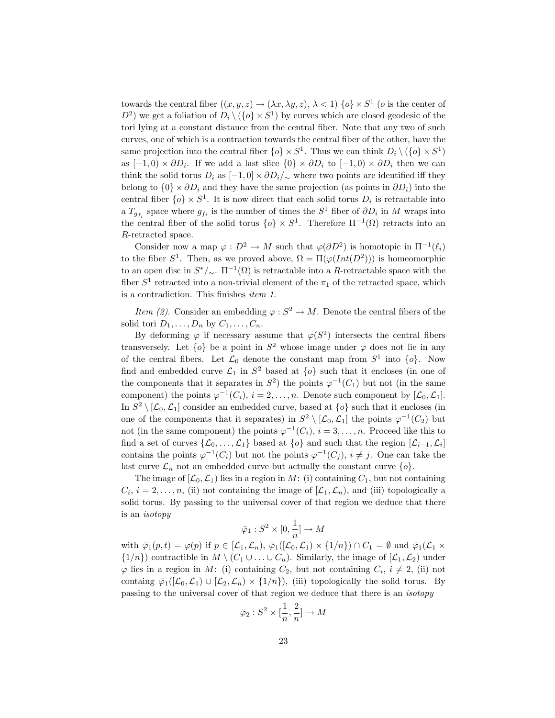towards the central fiber  $((x, y, z) \rightarrow (\lambda x, \lambda y, z), \lambda < 1)$  {o}  $\times S^1$  (o is the center of  $(D^2)$  we get a foliation of  $D_i \setminus (\{o\} \times S^1)$  by curves which are closed geodesic of the tori lying at a constant distance from the central fiber. Note that any two of such curves, one of which is a contraction towards the central fiber of the other, have the same projection into the central fiber  $\{o\} \times S^1$ . Thus we can think  $D_i \setminus (\{o\} \times S^1)$ as  $[-1,0) \times \partial D_i$ . If we add a last slice  $\{0\} \times \partial D_i$  to  $[-1,0) \times \partial D_i$  then we can think the solid torus  $D_i$  as  $[-1, 0] \times \partial D_i/\sim$  where two points are identified iff they belong to  $\{0\} \times \partial D_i$  and they have the same projection (as points in  $\partial D_i$ ) into the central fiber  $\{o\} \times S^1$ . It is now direct that each solid torus  $D_i$  is retractable into a  $T_{g_{f_i}}$  space where  $g_{f_i}$  is the number of times the  $S^1$  fiber of  $\partial D_i$  in M wraps into the central fiber of the solid torus  $\{o\} \times S^1$ . Therefore  $\Pi^{-1}(\Omega)$  retracts into an R-retracted space.

Consider now a map  $\varphi : D^2 \to M$  such that  $\varphi(\partial D^2)$  is homotopic in  $\Pi^{-1}(\ell_i)$ to the fiber  $S^1$ . Then, as we proved above,  $\Omega = \Pi(\varphi(Int(D^2)))$  is homeomorphic to an open disc in  $S^*/\sim \Pi^{-1}(\Omega)$  is retractable into a R-retractable space with the fiber  $S^1$  retracted into a non-trivial element of the  $\pi_1$  of the retracted space, which is a contradiction. This finishes item 1.

*Item (2).* Consider an embedding  $\varphi : S^2 \to M$ . Denote the central fibers of the solid tori  $D_1, \ldots, D_n$  by  $C_1, \ldots, C_n$ .

By deforming  $\varphi$  if necessary assume that  $\varphi(S^2)$  intersects the central fibers transversely. Let  $\{o\}$  be a point in  $S^2$  whose image under  $\varphi$  does not lie in any of the central fibers. Let  $\mathcal{L}_0$  denote the constant map from  $S^1$  into  $\{o\}$ . Now find and embedded curve  $\mathcal{L}_1$  in  $S^2$  based at  $\{o\}$  such that it encloses (in one of the components that it separates in  $S^2$ ) the points  $\varphi^{-1}(C_1)$  but not (in the same component) the points  $\varphi^{-1}(C_i)$ ,  $i = 2, ..., n$ . Denote such component by  $[\mathcal{L}_0, \mathcal{L}_1]$ . In  $S^2 \setminus [\mathcal{L}_0, \mathcal{L}_1]$  consider an embedded curve, based at  $\{o\}$  such that it encloses (in one of the components that it separates) in  $S^2 \setminus [\mathcal{L}_0, \mathcal{L}_1]$  the points  $\varphi^{-1}(C_2)$  but not (in the same component) the points  $\varphi^{-1}(C_i)$ ,  $i = 3, ..., n$ . Proceed like this to find a set of curves  $\{\mathcal{L}_0, \ldots, \mathcal{L}_1\}$  based at  $\{o\}$  and such that the region  $[\mathcal{L}_{i-1}, \mathcal{L}_i]$ contains the points  $\varphi^{-1}(C_i)$  but not the points  $\varphi^{-1}(C_j)$ ,  $i \neq j$ . One can take the last curve  $\mathcal{L}_n$  not an embedded curve but actually the constant curve  $\{o\}$ .

The image of  $[\mathcal{L}_0,\mathcal{L}_1]$  lies in a region in M: (i) containing  $C_1$ , but not containing  $C_i$ ,  $i = 2, \ldots, n$ , (ii) not containing the image of  $[\mathcal{L}_1, \mathcal{L}_n)$ , and (iii) topologically a solid torus. By passing to the universal cover of that region we deduce that there is an isotopy

$$
\bar{\varphi}_1: S^2 \times [0, \frac{1}{n}] \to M
$$

with  $\bar{\varphi}_1(p,t) = \varphi(p)$  if  $p \in [\mathcal{L}_1, \mathcal{L}_n)$ ,  $\bar{\varphi}_1([\mathcal{L}_0, \mathcal{L}_1) \times \{1/n\}) \cap C_1 = \emptyset$  and  $\bar{\varphi}_1(\mathcal{L}_1 \times$  $\{1/n\}$  contractible in  $M \setminus (C_1 \cup \ldots \cup C_n)$ . Similarly, the image of  $[\mathcal{L}_1, \mathcal{L}_2)$  under  $\varphi$  lies in a region in M: (i) containing  $C_2$ , but not containing  $C_i$ ,  $i \neq 2$ , (ii) not containg  $\bar{\varphi}_1([\mathcal{L}_0,\mathcal{L}_1) \cup [\mathcal{L}_2,\mathcal{L}_n) \times \{1/n\}\)$ , (iii) topologically the solid torus. By passing to the universal cover of that region we deduce that there is an isotopy

$$
\bar{\varphi}_2:S^2\times[\frac{1}{n},\frac{2}{n}]\to M
$$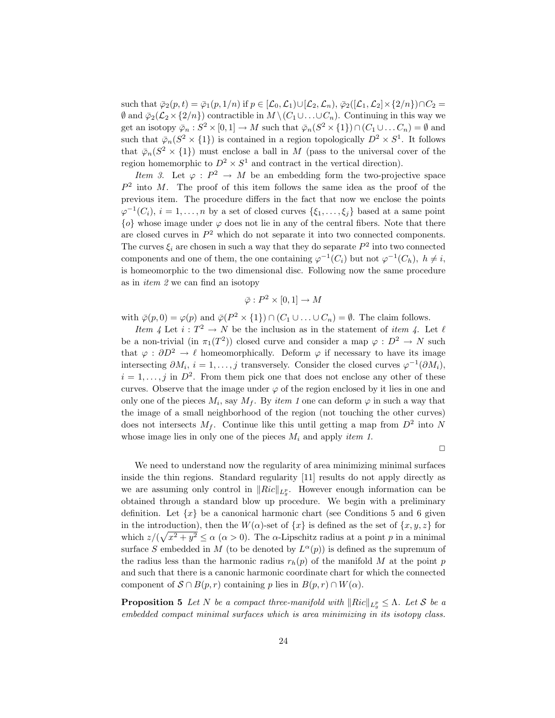such that  $\bar{\varphi}_2(p,t) = \bar{\varphi}_1(p,1/n)$  if  $p \in [L_0, L_1) \cup [L_2, L_n), \bar{\varphi}_2([L_1, L_2] \times \{2/n\}) \cap C_2 =$  $\emptyset$  and  $\overline{\varphi}_2(\mathcal{L}_2 \times \{2/n\})$  contractible in  $M \setminus (C_1 \cup \ldots \cup C_n)$ . Continuing in this way we get an isotopy  $\bar{\varphi}_n : S^2 \times [0,1] \to M$  such that  $\bar{\varphi}_n(S^2 \times \{1\}) \cap (C_1 \cup \ldots C_n) = \emptyset$  and such that  $\bar{\varphi}_n(S^2 \times \{1\})$  is contained in a region topologically  $D^2 \times S^1$ . It follows that  $\bar{\varphi}_n(S^2 \times \{1\})$  must enclose a ball in M (pass to the universal cover of the region homemorphic to  $D^2 \times S^1$  and contract in the vertical direction).

*Item 3.* Let  $\varphi : P^2 \to M$  be an embedding form the two-projective space  $P<sup>2</sup>$  into M. The proof of this item follows the same idea as the proof of the previous item. The procedure differs in the fact that now we enclose the points  $\varphi^{-1}(C_i), i = 1, \ldots, n$  by a set of closed curves  $\{\xi_1, \ldots, \xi_j\}$  based at a same point  ${o}$  whose image under  $\varphi$  does not lie in any of the central fibers. Note that there are closed curves in  $P<sup>2</sup>$  which do not separate it into two connected components. The curves  $\xi_i$  are chosen in such a way that they do separate  $P^2$  into two connected components and one of them, the one containing  $\varphi^{-1}(C_i)$  but not  $\varphi^{-1}(C_h)$ ,  $h \neq i$ , is homeomorphic to the two dimensional disc. Following now the same procedure as in item 2 we can find an isotopy

$$
\bar{\varphi}: P^2 \times [0,1] \to M
$$

with  $\bar{\varphi}(p,0) = \varphi(p)$  and  $\bar{\varphi}(P^2 \times \{1\}) \cap (C_1 \cup ... \cup C_n) = \emptyset$ . The claim follows.

Item 4 Let  $i: T^2 \to N$  be the inclusion as in the statement of item 4. Let  $\ell$ be a non-trivial (in  $\pi_1(T^2)$ ) closed curve and consider a map  $\varphi : D^2 \to N$  such that  $\varphi : \partial D^2 \to \ell$  homeomorphically. Deform  $\varphi$  if necessary to have its image intersecting  $\partial M_i$ ,  $i = 1, ..., j$  transversely. Consider the closed curves  $\varphi^{-1}(\partial M_i)$ ,  $i = 1, \ldots, j$  in  $D^2$ . From them pick one that does not enclose any other of these curves. Observe that the image under  $\varphi$  of the region enclosed by it lies in one and only one of the pieces  $M_i$ , say  $M_f$ . By *item 1* one can deform  $\varphi$  in such a way that the image of a small neighborhood of the region (not touching the other curves) does not intersects  $M_f$ . Continue like this until getting a map from  $D^2$  into N whose image lies in only one of the pieces  $M_i$  and apply *item 1*.

 $\Box$ 

We need to understand now the regularity of area minimizing minimal surfaces inside the thin regions. Standard regularity [11] results do not apply directly as we are assuming only control in  $||Ric||_{L_g^p}$ . However enough information can be obtained through a standard blow up procedure. We begin with a preliminary definition. Let  $\{x\}$  be a canonical harmonic chart (see Conditions 5 and 6 given in the introduction), then the  $W(\alpha)$ -set of  $\{x\}$  is defined as the set of  $\{x, y, z\}$  for which  $z/(\sqrt{x^2+y^2} \leq \alpha \ (\alpha > 0)$ . The  $\alpha$ -Lipschitz radius at a point p in a minimal surface S embedded in M (to be denoted by  $L^{\alpha}(p)$ ) is defined as the supremum of the radius less than the harmonic radius  $r_h(p)$  of the manifold M at the point p and such that there is a canonic harmonic coordinate chart for which the connected component of  $S \cap B(p, r)$  containing p lies in  $B(p, r) \cap W(\alpha)$ .

**Proposition 5** Let N be a compact three-manifold with  $\|Ric\|_{L_g^p} \leq \Lambda$ . Let S be a embedded compact minimal surfaces which is area minimizing in its isotopy class.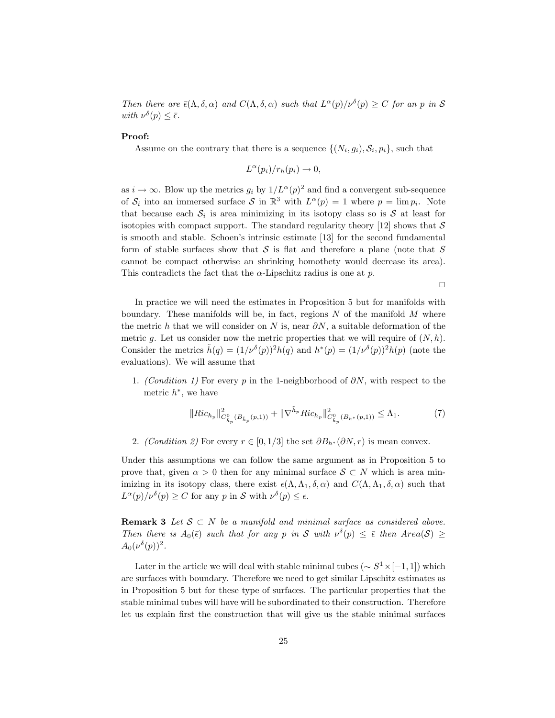Then there are  $\bar{\epsilon}(\Lambda,\delta,\alpha)$  and  $C(\Lambda,\delta,\alpha)$  such that  $L^{\alpha}(p)/\nu^{\delta}(p) \geq C$  for an p in S with  $\nu^{\delta}(p) \leq \bar{\epsilon}$ .

### Proof:

Assume on the contrary that there is a sequence  $\{(N_i, g_i), \mathcal{S}_i, p_i\}$ , such that

$$
L^{\alpha}(p_i)/r_h(p_i) \to 0,
$$

as  $i \to \infty$ . Blow up the metrics  $g_i$  by  $1/L^{\alpha}(p)^2$  and find a convergent sub-sequence of  $S_i$  into an immersed surface S in  $\mathbb{R}^3$  with  $L^{\alpha}(p) = 1$  where  $p = \lim p_i$ . Note that because each  $S_i$  is area minimizing in its isotopy class so is S at least for isotopies with compact support. The standard regularity theory  $[12]$  shows that S is smooth and stable. Schoen's intrinsic estimate [13] for the second fundamental form of stable surfaces show that  $S$  is flat and therefore a plane (note that  $S$ cannot be compact otherwise an shrinking homothety would decrease its area). This contradicts the fact that the  $\alpha$ -Lipschitz radius is one at p.

 $\Box$ 

In practice we will need the estimates in Proposition 5 but for manifolds with boundary. These manifolds will be, in fact, regions  $N$  of the manifold  $M$  where the metric h that we will consider on N is, near  $\partial N$ , a suitable deformation of the metric g. Let us consider now the metric properties that we will require of  $(N, h)$ . Consider the metrics  $\tilde{h}(q) = (1/\nu^{\delta}(p))^2 h(q)$  and  $h^*(p) = (1/\nu^{\delta}(p))^2 h(p)$  (note the evaluations). We will assume that

1. (Condition 1) For every p in the 1-neighborhood of  $\partial N$ , with respect to the metric  $h^*$ , we have

$$
||Ric_{h_p}||_{C_{\tilde{h}_p}^0(B_{\tilde{h}_p}(p,1))}^2 + ||\nabla^{\tilde{h}_p} Ric_{h_p}||_{C_{\tilde{h}_p}^0(B_{h^*}(p,1))}^2 \leq \Lambda_1.
$$
 (7)

2. (Condition 2) For every  $r \in [0, 1/3]$  the set  $\partial B_{h^*}(\partial N, r)$  is mean convex.

Under this assumptions we can follow the same argument as in Proposition 5 to prove that, given  $\alpha > 0$  then for any minimal surface  $S \subset N$  which is area minimizing in its isotopy class, there exist  $\epsilon(\Lambda, \Lambda_1, \delta, \alpha)$  and  $C(\Lambda, \Lambda_1, \delta, \alpha)$  such that  $L^{\alpha}(p)/\nu^{\delta}(p) \geq C$  for any p in S with  $\nu^{\delta}(p) \leq \epsilon$ .

**Remark 3** Let  $S \subset N$  be a manifold and minimal surface as considered above. Then there is  $A_0(\bar{\epsilon})$  such that for any p in S with  $\nu^{\delta}(p) \leq \bar{\epsilon}$  then  $Area(S) \geq$  $A_0(\nu^{\delta}(p))^2$ .

Later in the article we will deal with stable minimal tubes  $({\sim S^1} \times [-1,1])$  which are surfaces with boundary. Therefore we need to get similar Lipschitz estimates as in Proposition 5 but for these type of surfaces. The particular properties that the stable minimal tubes will have will be subordinated to their construction. Therefore let us explain first the construction that will give us the stable minimal surfaces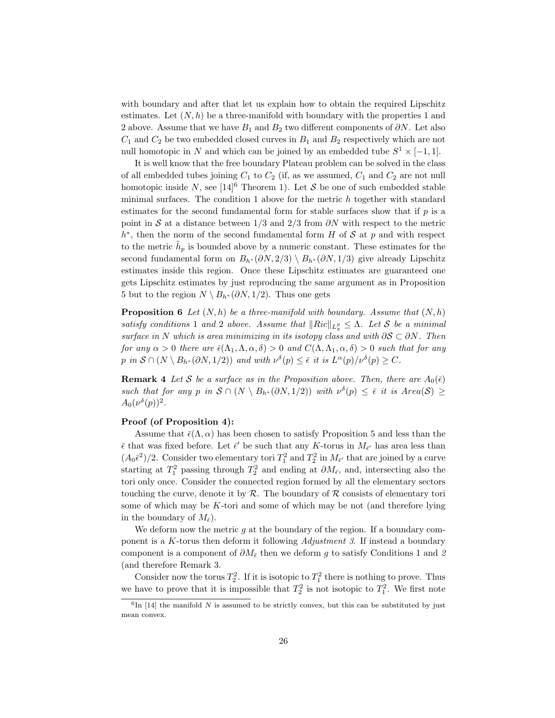with boundary and after that let us explain how to obtain the required Lipschitz estimates. Let  $(N, h)$  be a three-manifold with boundary with the properties 1 and 2 above. Assume that we have  $B_1$  and  $B_2$  two different components of  $\partial N$ . Let also  $C_1$  and  $C_2$  be two embedded closed curves in  $B_1$  and  $B_2$  respectively which are not null homotopic in N and which can be joined by an embedded tube  $S^1 \times [-1,1]$ .

It is well know that the free boundary Plateau problem can be solved in the class of all embedded tubes joining  $C_1$  to  $C_2$  (if, as we assumed,  $C_1$  and  $C_2$  are not null homotopic inside N, see  $[14]^{6}$  Theorem 1). Let S be one of such embedded stable minimal surfaces. The condition 1 above for the metric h together with standard estimates for the second fundamental form for stable surfaces show that if  $p$  is a point in S at a distance between  $1/3$  and  $2/3$  from  $\partial N$  with respect to the metric  $h^*$ , then the norm of the second fundamental form H of S at p and with respect to the metric  $\tilde{h}_p$  is bounded above by a numeric constant. These estimates for the second fundamental form on  $B_{h^*}(\partial N, 2/3) \setminus B_{h^*}(\partial N, 1/3)$  give already Lipschitz estimates inside this region. Once these Lipschitz estimates are guaranteed one gets Lipschitz estimates by just reproducing the same argument as in Proposition 5 but to the region  $N \setminus B_{h^*}(\partial N, 1/2)$ . Thus one gets

**Proposition 6** Let  $(N, h)$  be a three-manifold with boundary. Assume that  $(N, h)$ satisfy conditions 1 and 2 above. Assume that  $||Ric||_{L_g^p} \leq \Lambda$ . Let S be a minimal surface in N which is area minimizing in its isotopy class and with  $\partial S \subset \partial N$ . Then for any  $\alpha > 0$  there are  $\bar{\epsilon}(\Lambda_1, \Lambda, \alpha, \delta) > 0$  and  $C(\Lambda, \Lambda_1, \alpha, \delta) > 0$  such that for any p in  $S \cap (N \setminus B_{h^*}(\partial N, 1/2))$  and with  $\nu^{\delta}(p) \leq \overline{\epsilon}$  it is  $L^{\alpha}(p)/\nu^{\delta}(p) \geq C$ .

**Remark 4** Let S be a surface as in the Proposition above. Then, there are  $A_0(\bar{\epsilon})$ such that for any p in  $S \cap (N \setminus B_{h^*}(\partial N, 1/2))$  with  $\nu^{\delta}(p) \leq \overline{\epsilon}$  it is  $Area(S) \geq$  $A_0(\nu^{\delta}(p))^2$ .

### Proof (of Proposition 4):

Assume that  $\bar{\epsilon}(\Lambda,\alpha)$  has been chosen to satisfy Proposition 5 and less than the  $\bar{\epsilon}$  that was fixed before. Let  $\bar{\epsilon}'$  be such that any K-torus in  $M_{\bar{\epsilon}'}$  has area less than  $(A_0\bar{\epsilon}^2)/2$ . Consider two elementary tori  $T_1^2$  and  $T_2^2$  in  $M_{\bar{\epsilon}'}$  that are joined by a curve starting at  $T_1^2$  passing through  $T_2^2$  and ending at  $\partial M_{\bar{\epsilon}}$ , and, intersecting also the tori only once. Consider the connected region formed by all the elementary sectors touching the curve, denote it by  $R$ . The boundary of  $R$  consists of elementary tori some of which may be  $K$ -tori and some of which may be not (and therefore lying in the boundary of  $M_{\bar{\epsilon}}$ ).

We deform now the metric  $q$  at the boundary of the region. If a boundary component is a K-torus then deform it following Adjustment 3. If instead a boundary component is a component of  $\partial M_{\bar{\epsilon}}$  then we deform g to satisfy Conditions 1 and 2 (and therefore Remark 3.

Consider now the torus  $T_2^2$ . If it is isotopic to  $T_1^2$  there is nothing to prove. Thus we have to prove that it is impossible that  $T_2^2$  is not isotopic to  $T_1^2$ . We first note

 ${}^{6}$ In [14] the manifold N is assumed to be strictly convex, but this can be substituted by just mean convex.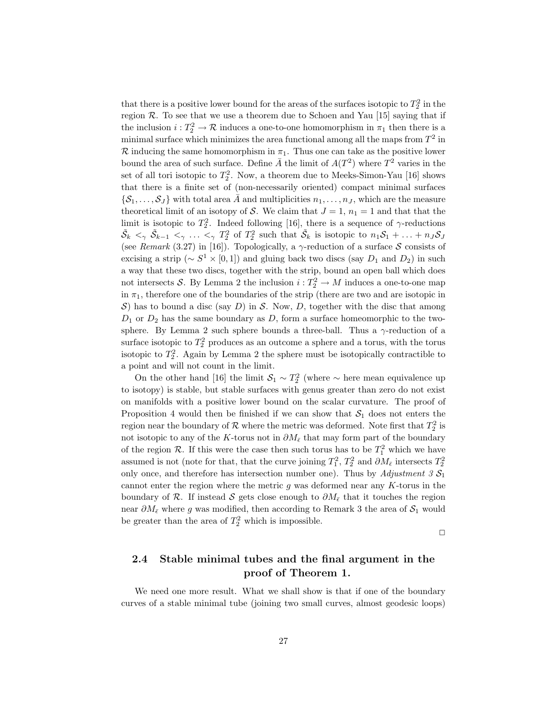that there is a positive lower bound for the areas of the surfaces isotopic to  $T_2^2$  in the region  $R$ . To see that we use a theorem due to Schoen and Yau [15] saying that if the inclusion  $i: T_2^2 \to \mathcal{R}$  induces a one-to-one homomorphism in  $\pi_1$  then there is a minimal surface which minimizes the area functional among all the maps from  $T^2$  in R inducing the same homomorphism in  $\pi_1$ . Thus one can take as the positive lower bound the area of such surface. Define  $\overline{A}$  the limit of  $A(T^2)$  where  $T^2$  varies in the set of all tori isotopic to  $T_2^2$ . Now, a theorem due to Meeks-Simon-Yau [16] shows that there is a finite set of (non-necessarily oriented) compact minimal surfaces  $\{\mathcal{S}_1,\ldots,\mathcal{S}_J\}$  with total area  $\bar{A}$  and multiplicities  $n_1,\ldots,n_J$ , which are the measure theoretical limit of an isotopy of S. We claim that  $J = 1$ ,  $n_1 = 1$  and that that the limit is isotopic to  $T_2^2$ . Indeed following [16], there is a sequence of  $\gamma$ -reductions  $\tilde{S}_k$   $\lt_{\gamma}$   $\tilde{S}_{k-1}$   $\lt_{\gamma}$  ...  $\lt_{\gamma}$   $T_2^2$  of  $T_2^2$  such that  $\tilde{S}_k$  is isotopic to  $n_1S_1 + \ldots + n_JS_J$ (see Remark (3.27) in [16]). Topologically, a  $\gamma$ -reduction of a surface S consists of excising a strip ( $\sim S^1 \times [0,1]$ ) and gluing back two discs (say  $D_1$  and  $D_2$ ) in such a way that these two discs, together with the strip, bound an open ball which does not intersects S. By Lemma 2 the inclusion  $i: T_2^2 \to M$  induces a one-to-one map in  $\pi_1$ , therefore one of the boundaries of the strip (there are two and are isotopic in  $S$ ) has to bound a disc (say D) in S. Now, D, together with the disc that among  $D_1$  or  $D_2$  has the same boundary as D, form a surface homeomorphic to the twosphere. By Lemma 2 such sphere bounds a three-ball. Thus a  $\gamma$ -reduction of a surface isotopic to  $T_2^2$  produces as an outcome a sphere and a torus, with the torus isotopic to  $T_2^2$ . Again by Lemma 2 the sphere must be isotopically contractible to a point and will not count in the limit.

On the other hand [16] the limit  $S_1 \sim T_2^2$  (where  $\sim$  here mean equivalence up to isotopy) is stable, but stable surfaces with genus greater than zero do not exist on manifolds with a positive lower bound on the scalar curvature. The proof of Proposition 4 would then be finished if we can show that  $S_1$  does not enters the region near the boundary of  $R$  where the metric was deformed. Note first that  $T_2^2$  is not isotopic to any of the K-torus not in  $\partial M_{\bar{\epsilon}}$  that may form part of the boundary of the region  $\mathcal{R}$ . If this were the case then such torus has to be  $T_1^2$  which we have assumed is not (note for that, that the curve joining  $T_1^2$ ,  $T_2^2$  and  $\partial M_{\bar{\epsilon}}$  intersects  $T_2^2$ only once, and therefore has intersection number one). Thus by Adjustment 3  $S_1$ cannot enter the region where the metric q was deformed near any  $K$ -torus in the boundary of R. If instead S gets close enough to  $\partial M_{\bar{\epsilon}}$  that it touches the region near  $\partial M_{\bar{\epsilon}}$  where g was modified, then according to Remark 3 the area of  $S_1$  would be greater than the area of  $T_2^2$  which is impossible.

 $\Box$ 

## 2.4 Stable minimal tubes and the final argument in the proof of Theorem 1.

We need one more result. What we shall show is that if one of the boundary curves of a stable minimal tube (joining two small curves, almost geodesic loops)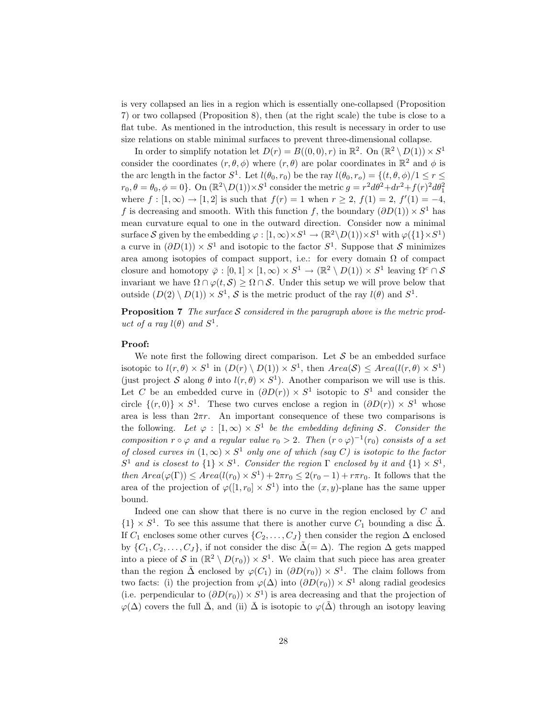is very collapsed an lies in a region which is essentially one-collapsed (Proposition 7) or two collapsed (Proposition 8), then (at the right scale) the tube is close to a flat tube. As mentioned in the introduction, this result is necessary in order to use size relations on stable minimal surfaces to prevent three-dimensional collapse.

In order to simplify notation let  $D(r) = B((0,0), r)$  in  $\mathbb{R}^2$ . On  $(\mathbb{R}^2 \setminus D(1)) \times S^1$ consider the coordinates  $(r, \theta, \phi)$  where  $(r, \theta)$  are polar coordinates in  $\mathbb{R}^2$  and  $\phi$  is the arc length in the factor  $S^1$ . Let  $l(\theta_0, r_0)$  be the ray  $l(\theta_0, r_o) = \{(t, \theta, \phi)/1 \le r \le$  $r_0, \theta = \theta_0, \phi = 0$ . On  $(\mathbb{R}^2 \setminus D(1)) \times S^1$  consider the metric  $g = r^2 d\theta^2 + dr^2 + f(r)^2 d\theta_1^2$ where  $f : [1, \infty) \to [1, 2]$  is such that  $f(r) = 1$  when  $r \ge 2$ ,  $f(1) = 2$ ,  $f'(1) = -4$ , f is decreasing and smooth. With this function f, the boundary  $(\partial D(1)) \times S^1$  has mean curvature equal to one in the outward direction. Consider now a minimal surface S given by the embedding  $\varphi : [1, \infty) \times S^1 \to (\mathbb{R}^2 \backslash D(1)) \times S^1$  with  $\varphi({1} \} \times S^1)$ a curve in  $(\partial D(1)) \times S^1$  and isotopic to the factor  $S^1$ . Suppose that S minimizes area among isotopies of compact support, i.e.: for every domain  $\Omega$  of compact closure and homotopy  $\overline{\varphi} : [0,1] \times [1,\infty) \times S^1 \to (\mathbb{R}^2 \setminus D(1)) \times S^1$  leaving  $\Omega^c \cap S$ invariant we have  $\Omega \cap \varphi(t, \mathcal{S}) \geq \Omega \cap \mathcal{S}$ . Under this setup we will prove below that outside  $(D(2) \setminus D(1)) \times S^1$ , S is the metric product of the ray  $l(\theta)$  and  $S^1$ .

**Proposition 7** The surface S considered in the paragraph above is the metric product of a ray  $l(\theta)$  and  $S^1$ .

### Proof:

We note first the following direct comparison. Let  $\mathcal S$  be an embedded surface isotopic to  $l(r, \theta) \times S^1$  in  $(D(r) \setminus D(1)) \times S^1$ , then  $Area(S) \leq Area(l(r, \theta) \times S^1)$ (just project S along  $\theta$  into  $l(r, \theta) \times S^1$ ). Another comparison we will use is this. Let C be an embedded curve in  $(\partial D(r)) \times S^1$  isotopic to  $S^1$  and consider the circle  $\{(r,0)\}\times S^1$ . These two curves enclose a region in  $(\partial D(r))\times S^1$  whose area is less than  $2\pi r$ . An important consequence of these two comparisons is the following. Let  $\varphi : [1, \infty) \times S^1$  be the embedding defining S. Consider the composition  $r \circ \varphi$  and a regular value  $r_0 > 2$ . Then  $(r \circ \varphi)^{-1}(r_0)$  consists of a set of closed curves in  $(1,\infty) \times S^1$  only one of which (say C) is isotopic to the factor  $S^1$  and is closest to  $\{1\} \times S^1$ . Consider the region  $\Gamma$  enclosed by it and  $\{1\} \times S^1$ , then  $Area(\varphi(\Gamma)) \leq Area(l(r_0) \times S^1) + 2\pi r_0 \leq 2(r_0 - 1) + r\pi r_0$ . It follows that the area of the projection of  $\varphi([1, r_0] \times S^1)$  into the  $(x, y)$ -plane has the same upper bound.

Indeed one can show that there is no curve in the region enclosed by C and  ${1} \times S<sup>1</sup>$ . To see this assume that there is another curve  $C<sub>1</sub>$  bounding a disc  $\tilde{\Delta}$ . If  $C_1$  encloses some other curves  $\{C_2, \ldots, C_J\}$  then consider the region  $\Delta$  enclosed by  $\{C_1, C_2, \ldots, C_J\}$ , if not consider the disc  $\tilde{\Delta}$ (=  $\Delta$ ). The region  $\Delta$  gets mapped into a piece of S in  $(\mathbb{R}^2 \setminus D(r_0)) \times S^1$ . We claim that such piece has area greater than the region  $\bar{\Delta}$  enclosed by  $\varphi(C_1)$  in  $(\partial D(r_0)) \times S^1$ . The claim follows from two facts: (i) the projection from  $\varphi(\Delta)$  into  $(\partial D(r_0)) \times S^1$  along radial geodesics (i.e. perpendicular to  $(\partial D(r_0)) \times S^1$ ) is area decreasing and that the projection of  $\varphi(\Delta)$  covers the full  $\overline{\Delta}$ , and (ii)  $\overline{\Delta}$  is isotopic to  $\varphi(\overline{\Delta})$  through an isotopy leaving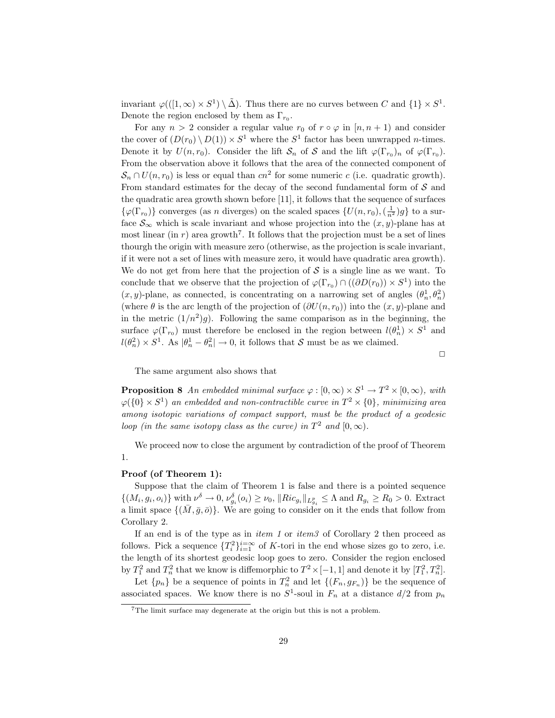invariant  $\varphi((1,\infty) \times S^1) \setminus \tilde{\Delta}$ . Thus there are no curves between C and  $\{1\} \times S^1$ . Denote the region enclosed by them as  $\Gamma_{r_0}$ .

For any  $n > 2$  consider a regular value  $r_0$  of  $r \circ \varphi$  in  $[n, n + 1]$  and consider the cover of  $(D(r_0) \setminus D(1)) \times S^1$  where the  $S^1$  factor has been unwrapped *n*-times. Denote it by  $U(n,r_0)$ . Consider the lift  $S_n$  of S and the lift  $\varphi(\Gamma_{r_0})_n$  of  $\varphi(\Gamma_{r_0})$ . From the observation above it follows that the area of the connected component of  $S_n \cap U(n,r_0)$  is less or equal than  $cn^2$  for some numeric c (i.e. quadratic growth). From standard estimates for the decay of the second fundamental form of  $S$  and the quadratic area growth shown before [11], it follows that the sequence of surfaces  $\{\varphi(\Gamma_{r_0})\}$  converges (as n diverges) on the scaled spaces  $\{U(n,r_0),(\frac{1}{n^2})g\}$  to a surface  $\mathcal{S}_{\infty}$  which is scale invariant and whose projection into the  $(x, y)$ -plane has at most linear (in  $r$ ) area growth<sup>7</sup>. It follows that the projection must be a set of lines thourgh the origin with measure zero (otherwise, as the projection is scale invariant, if it were not a set of lines with measure zero, it would have quadratic area growth). We do not get from here that the projection of  $\mathcal S$  is a single line as we want. To conclude that we observe that the projection of  $\varphi(\Gamma_{r_0}) \cap ((\partial D(r_0)) \times S^1)$  into the  $(x, y)$ -plane, as connected, is concentrating on a narrowing set of angles  $(\theta_n^1, \theta_n^2)$ (where  $\theta$  is the arc length of the projection of  $(\partial U(n, r_0))$  into the  $(x, y)$ -plane and in the metric  $(1/n^2)g$ . Following the same comparison as in the beginning, the surface  $\varphi(\Gamma_{r_0})$  must therefore be enclosed in the region between  $l(\theta_n^1) \times S^1$  and  $l(\theta_n^2) \times S^1$ . As  $|\theta_n^1 - \theta_n^2| \to 0$ , it follows that S must be as we claimed.

 $\Box$ 

The same argument also shows that

**Proposition 8** An embedded minimal surface  $\varphi : [0, \infty) \times S^1 \to T^2 \times [0, \infty)$ , with  $\varphi({0} \times S^1)$  an embedded and non-contractible curve in  $T^2 \times {0}$ , minimizing area among isotopic variations of compact support, must be the product of a geodesic loop (in the same isotopy class as the curve) in  $T^2$  and  $[0, \infty)$ .

We proceed now to close the argument by contradiction of the proof of Theorem 1.

### Proof (of Theorem 1):

Suppose that the claim of Theorem 1 is false and there is a pointed sequence  $\{(M_i, g_i, o_i)\}\text{ with } \nu^{\delta} \to 0, \nu_{g_i}^{\delta}(o_i) \geq \nu_0, \|Ric_{g_i}\|_{L_{g_i}^p} \leq \Lambda \text{ and } R_{g_i} \geq R_0 > 0. \text{ Extract}$ a limit space  $\{(\bar{M}, \bar{q}, \bar{o})\}$ . We are going to consider on it the ends that follow from Corollary 2.

If an end is of the type as in item 1 or item3 of Corollary 2 then proceed as follows. Pick a sequence  $\{T_i^2\}_{i=1}^{i=\infty}$  of K-tori in the end whose sizes go to zero, i.e. the length of its shortest geodesic loop goes to zero. Consider the region enclosed by  $T_1^2$  and  $T_n^2$  that we know is diffemorphic to  $T^2 \times [-1,1]$  and denote it by  $[T_1^2, T_n^2]$ .

Let  $\{p_n\}$  be a sequence of points in  $T_n^2$  and let  $\{(F_n, g_{F_n})\}$  be the sequence of associated spaces. We know there is no  $S^1$ -soul in  $F_n$  at a distance  $d/2$  from  $p_n$ 

<sup>7</sup>The limit surface may degenerate at the origin but this is not a problem.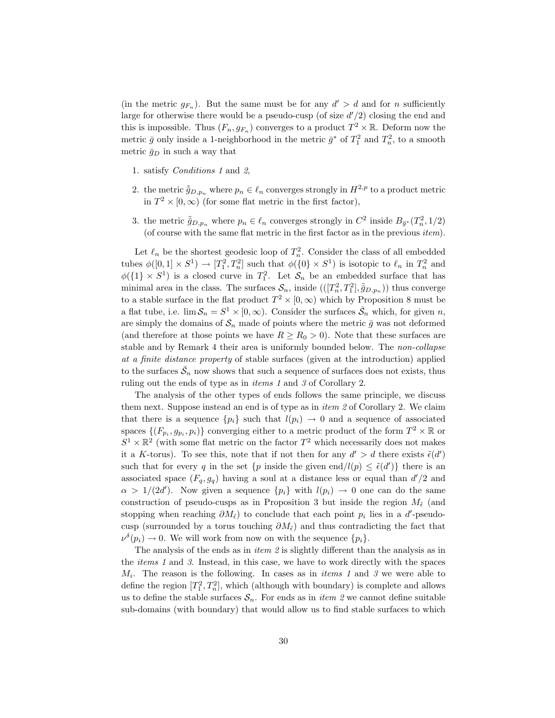(in the metric  $g_{F_n}$ ). But the same must be for any  $d' > d$  and for n sufficiently large for otherwise there would be a pseudo-cusp (of size  $d'/2$ ) closing the end and this is impossible. Thus  $(F_n, g_{F_n})$  converges to a product  $T^2 \times \mathbb{R}$ . Deform now the metric  $\bar{g}$  only inside a 1-neighborhood in the metric  $\bar{g}^*$  of  $T_1^2$  and  $T_n^2$ , to a smooth metric  $\bar{g}_D$  in such a way that

- 1. satisfy Conditions 1 and 2,
- 2. the metric  $\tilde{g}_{D,p_n}$  where  $p_n \in \ell_n$  converges strongly in  $H^{2,p}$  to a product metric in  $T^2 \times [0, \infty)$  (for some flat metric in the first factor),
- 3. the metric  $\tilde{g}_{D,p_n}$  where  $p_n \in \ell_n$  converges strongly in  $C^2$  inside  $B_{\bar{g}^*}(T_n^2, 1/2)$ (of course with the same flat metric in the first factor as in the previous  $item$ ).

Let  $\ell_n$  be the shortest geodesic loop of  $T_n^2$ . Consider the class of all embedded tubes  $\phi([0,1] \times S^1) \to [T_1^2, T_n^2]$  such that  $\phi(\{0\} \times S^1)$  is isotopic to  $\ell_n$  in  $T_n^2$  and  $\phi({1} \times S^1)$  is a closed curve in  $T_1^2$ . Let  $S_n$  be an embedded surface that has minimal area in the class. The surfaces  $S_n$ , inside  $((T_n^2, T_1^2], \tilde{g}_{D,p_n}))$  thus converge to a stable surface in the flat product  $T^2 \times [0, \infty)$  which by Proposition 8 must be a flat tube, i.e.  $\lim S_n = S^1 \times [0, \infty)$ . Consider the surfaces  $\bar{S}_n$  which, for given n, are simply the domains of  $S_n$  made of points where the metric  $\bar{g}$  was not deformed (and therefore at those points we have  $R \ge R_0 > 0$ ). Note that these surfaces are stable and by Remark 4 their area is uniformly bounded below. The non-collapse at a finite distance property of stable surfaces (given at the introduction) applied to the surfaces  $\bar{S}_n$  now shows that such a sequence of surfaces does not exists, thus ruling out the ends of type as in items 1 and 3 of Corollary 2.

The analysis of the other types of ends follows the same principle, we discuss them next. Suppose instead an end is of type as in *item 2* of Corollary 2. We claim that there is a sequence  $\{p_i\}$  such that  $l(p_i) \to 0$  and a sequence of associated spaces  $\{(F_{p_i}, g_{p_i}, p_i)\}\)$  converging either to a metric product of the form  $T^2 \times \mathbb{R}$  or  $S^1 \times \mathbb{R}^2$  (with some flat metric on the factor  $T^2$  which necessarily does not makes it a K-torus). To see this, note that if not then for any  $d' > d$  there exists  $\tilde{\epsilon}(d')$ such that for every q in the set  $\{p \text{ inside the given end}/l(p) \leq \tilde{\epsilon}(d')\}$  there is an associated space  $(F_q, g_q)$  having a soul at a distance less or equal than  $d'/2$  and  $\alpha > 1/(2d')$ . Now given a sequence  $\{p_i\}$  with  $l(p_i) \to 0$  one can do the same construction of pseudo-cusps as in Proposition 3 but inside the region  $M_{\tilde{\epsilon}}$  (and stopping when reaching  $\partial M_{\tilde{\epsilon}}$  to conclude that each point  $p_i$  lies in a d'-pseudocusp (surrounded by a torus touching  $\partial M_{\tilde{\epsilon}}$ ) and thus contradicting the fact that  $\nu^{\delta}(p_i) \to 0$ . We will work from now on with the sequence  $\{p_i\}$ .

The analysis of the ends as in *item 2* is slightly different than the analysis as in the items 1 and 3. Instead, in this case, we have to work directly with the spaces  $M_i$ . The reason is the following. In cases as in *items 1* and 3 we were able to define the region  $[T_1^2, T_n^2]$ , which (although with boundary) is complete and allows us to define the stable surfaces  $S_n$ . For ends as in *item 2* we cannot define suitable sub-domains (with boundary) that would allow us to find stable surfaces to which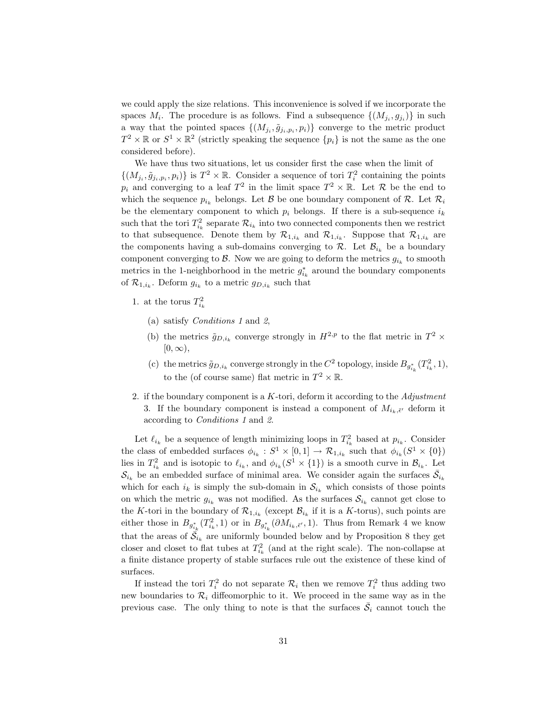we could apply the size relations. This inconvenience is solved if we incorporate the spaces  $M_i$ . The procedure is as follows. Find a subsequence  $\{(M_{j_i}, g_{j_i})\}$  in such a way that the pointed spaces  $\{(M_{j_i}, \tilde{g}_{j_i,p_i}, p_i)\}\)$  converge to the metric product  $T^2 \times \mathbb{R}$  or  $S^1 \times \mathbb{R}^2$  (strictly speaking the sequence  $\{p_i\}$  is not the same as the one considered before).

We have thus two situations, let us consider first the case when the limit of  $\{(M_{j_i}, \tilde{g}_{j_i,p_i}, p_i)\}\$ is  $T^2 \times \mathbb{R}$ . Consider a sequence of tori  $T_i^2$  containing the points  $p_i$  and converging to a leaf  $T^2$  in the limit space  $T^2 \times \mathbb{R}$ . Let R be the end to which the sequence  $p_{i_k}$  belongs. Let B be one boundary component of R. Let  $\mathcal{R}_i$ be the elementary component to which  $p_i$  belongs. If there is a sub-sequence  $i_k$ such that the tori  $T_{i_k}^2$  separate  $\mathcal{R}_{i_k}$  into two connected components then we restrict to that subsequence. Denote them by  $\mathcal{R}_{1,i_k}$  and  $\mathcal{R}_{1,i_k}$ . Suppose that  $\mathcal{R}_{1,i_k}$  are the components having a sub-domains converging to  $\mathcal{R}$ . Let  $\mathcal{B}_{i_k}$  be a boundary component converging to  $\mathcal{B}$ . Now we are going to deform the metrics  $g_{i_k}$  to smooth metrics in the 1-neighborhood in the metric  $g_{i_k}^*$  around the boundary components of  $\mathcal{R}_{1,i_k}$ . Deform  $g_{i_k}$  to a metric  $g_{D,i_k}$  such that

- 1. at the torus  $T_{i_k}^2$ 
	- (a) satisfy Conditions 1 and 2,
	- (b) the metrics  $\tilde{g}_{D,i_k}$  converge strongly in  $H^{2,p}$  to the flat metric in  $T^2 \times$  $[0, \infty),$
	- (c) the metrics  $\tilde{g}_{D,i_k}$  converge strongly in the  $C^2$  topology, inside  $B_{g_{i_k}^*}(T_{i_k}^2, 1)$ , to the (of course same) flat metric in  $T^2 \times \mathbb{R}$ .
- 2. if the boundary component is a  $K$ -tori, deform it according to the  $Adjustment$ 3. If the boundary component is instead a component of  $M_{i_k, \bar{\epsilon}'}$  deform it according to Conditions 1 and 2.

Let  $\ell_{i_k}$  be a sequence of length minimizing loops in  $T_{i_k}^2$  based at  $p_{i_k}$ . Consider the class of embedded surfaces  $\phi_{i_k}: S^1 \times [0,1] \to \mathcal{R}_{1,i_k}$  such that  $\phi_{i_k}(S^1 \times \{0\})$ lies in  $T_{i_k}^2$  and is isotopic to  $\ell_{i_k}$ , and  $\phi_{i_k}(S^1 \times \{1\})$  is a smooth curve in  $\mathcal{B}_{i_k}$ . Let  $S_{i_k}$  be an embedded surface of minimal area. We consider again the surfaces  $\bar{S}_{i_k}$ which for each  $i_k$  is simply the sub-domain in  $\mathcal{S}_{i_k}$  which consists of those points on which the metric  $g_{i_k}$  was not modified. As the surfaces  $\mathcal{S}_{i_k}$  cannot get close to the K-tori in the boundary of  $\mathcal{R}_{1,i_k}$  (except  $\mathcal{B}_{i_k}$  if it is a K-torus), such points are either those in  $B_{g_{i_k}^*}(T_{i_k}^2, 1)$  or in  $B_{g_{i_k}^*}(\partial M_{i_k, \bar{\epsilon}'}, 1)$ . Thus from Remark 4 we know that the areas of  $\overline{\tilde{S}_{i_k}}$  are uniformly bounded below and by Proposition 8 they get closer and closet to flat tubes at  $T_{i_k}^2$  (and at the right scale). The non-collapse at a finite distance property of stable surfaces rule out the existence of these kind of surfaces.

If instead the tori  $T_i^2$  do not separate  $\mathcal{R}_i$  then we remove  $T_i^2$  thus adding two new boundaries to  $\mathcal{R}_i$  diffeomorphic to it. We proceed in the same way as in the previous case. The only thing to note is that the surfaces  $\bar{S}_i$  cannot touch the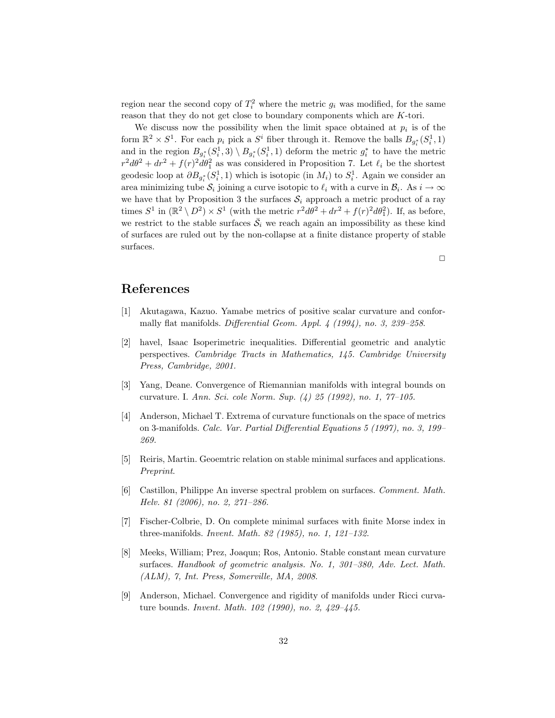region near the second copy of  $T_i^2$  where the metric  $g_i$  was modified, for the same reason that they do not get close to boundary components which are K-tori.

We discuss now the possibility when the limit space obtained at  $p_i$  is of the form  $\mathbb{R}^2 \times S^1$ . For each  $p_i$  pick a  $S^i$  fiber through it. Remove the balls  $B_{g_i^*}(S_i^1, 1)$ and in the region  $B_{g_i^*}(S_i^1, 3) \setminus B_{g_i^*}(S_i^1, 1)$  deform the metric  $g_i^*$  to have the metric  $r^2 d\theta^2 + dr^2 + f(r)^2 d\theta_1^2$  as was considered in Proposition 7. Let  $\ell_i$  be the shortest geodesic loop at  $\partial B_{g_i^*}(S_i^1, 1)$  which is isotopic (in  $M_i$ ) to  $S_i^1$ . Again we consider an area minimizing tube  $S_i$  joining a curve isotopic to  $\ell_i$  with a curve in  $\mathcal{B}_i$ . As  $i \to \infty$ we have that by Proposition 3 the surfaces  $S_i$  approach a metric product of a ray times  $S^1$  in  $(\mathbb{R}^2 \setminus D^2) \times S^1$  (with the metric  $r^2 d\theta^2 + dr^2 + f(r)^2 d\theta_1^2$ ). If, as before, we restrict to the stable surfaces  $\overline{S}_i$  we reach again an impossibility as these kind of surfaces are ruled out by the non-collapse at a finite distance property of stable surfaces.

 $\Box$ 

# References

- [1] Akutagawa, Kazuo. Yamabe metrics of positive scalar curvature and conformally flat manifolds. Differential Geom. Appl. 4 (1994), no. 3, 239–258.
- [2] havel, Isaac Isoperimetric inequalities. Differential geometric and analytic perspectives. Cambridge Tracts in Mathematics, 145. Cambridge University Press, Cambridge, 2001.
- [3] Yang, Deane. Convergence of Riemannian manifolds with integral bounds on curvature. I. Ann. Sci. cole Norm. Sup. (4) 25 (1992), no. 1, 77–105.
- [4] Anderson, Michael T. Extrema of curvature functionals on the space of metrics on 3-manifolds. Calc. Var. Partial Differential Equations 5 (1997), no. 3, 199– 269.
- [5] Reiris, Martin. Geoemtric relation on stable minimal surfaces and applications. Preprint.
- [6] Castillon, Philippe An inverse spectral problem on surfaces. Comment. Math. Helv. 81 (2006), no. 2, 271–286.
- [7] Fischer-Colbrie, D. On complete minimal surfaces with finite Morse index in three-manifolds. Invent. Math. 82 (1985), no. 1, 121–132.
- [8] Meeks, William; Prez, Joaqun; Ros, Antonio. Stable constant mean curvature surfaces. Handbook of geometric analysis. No. 1, 301–380, Adv. Lect. Math. (ALM), 7, Int. Press, Somerville, MA, 2008.
- [9] Anderson, Michael. Convergence and rigidity of manifolds under Ricci curvature bounds. Invent. Math. 102 (1990), no. 2, 429–445.